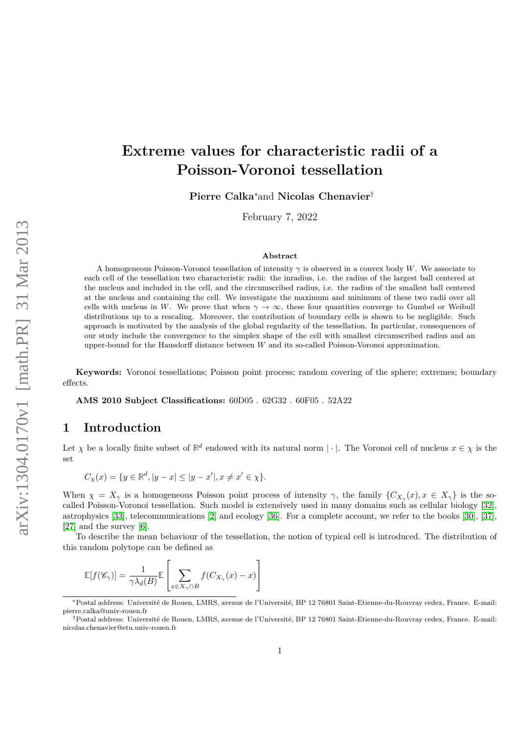# **Extreme values for characteristic radii of a Poisson-Voronoi tessellation**

**Pierre Calka**<sup>∗</sup>and **Nicolas Chenavier**†

February 7, 2022

#### **Abstract**

A homogeneous Poisson-Voronoi tessellation of intensity *γ* is observed in a convex body *W*. We associate to each cell of the tessellation two characteristic radii: the inradius, i.e. the radius of the largest ball centered at the nucleus and included in the cell, and the circumscribed radius, i.e. the radius of the smallest ball centered at the nucleus and containing the cell. We investigate the maximum and minimum of these two radii over all cells with nucleus in *W*. We prove that when  $\gamma \to \infty$ , these four quantities converge to Gumbel or Weibull distributions up to a rescaling. Moreover, the contribution of boundary cells is shown to be negligible. Such approach is motivated by the analysis of the global regularity of the tessellation. In particular, consequences of our study include the convergence to the simplex shape of the cell with smallest circumscribed radius and an upper-bound for the Hausdorff distance between *W* and its so-called Poisson-Voronoi approximation.

**Keywords:** Voronoi tessellations; Poisson point process; random covering of the sphere; extremes; boundary effects.

**AMS 2010 Subject Classifications:** 60D05 . 62G32 . 60F05 . 52A22

#### **1 Introduction**

Let  $\chi$  be a locally finite subset of  $\mathbb{R}^d$  endowed with its natural norm  $|\cdot|$ . The Voronoi cell of nucleus  $x \in \chi$  is the set

$$
C_{\chi}(x) = \{ y \in \mathbb{R}^d, |y - x| \le |y - x'|, x \ne x' \in \chi \}.
$$

When  $\chi = X_{\gamma}$  is a homogeneous Poisson point process of intensity  $\gamma$ , the family  $\{C_{X_{\gamma}}(x), x \in X_{\gamma}\}\)$  is the socalled Poisson-Voronoi tessellation. Such model is extensively used in many domains such as cellular biology [\[32\]](#page-21-0), astrophysics [\[33\]](#page-21-1), telecommunications [\[2\]](#page-20-0) and ecology [\[36\]](#page-21-2). For a complete account, we refer to the books [\[30\]](#page-21-3), [\[37\]](#page-21-4), [\[27\]](#page-21-5) and the survey [\[6\]](#page-20-1).

To describe the mean behaviour of the tessellation, the notion of typical cell is introduced. The distribution of this random polytope can be defined as

$$
\mathbb{E}[f(\mathscr{C}_{\gamma})] = \frac{1}{\gamma \lambda_d(B)} \mathbb{E}\left[\sum_{x \in X_{\gamma} \cap B} f(C_{X_{\gamma}}(x) - x)\right]
$$

<sup>∗</sup>Postal address: Université de Rouen, LMRS, avenue de l'Université, BP 12 76801 Saint-Etienne-du-Rouvray cedex, France. E-mail: pierre.calka@univ-rouen.fr

<sup>†</sup>Postal address: Université de Rouen, LMRS, avenue de l'Université, BP 12 76801 Saint-Etienne-du-Rouvray cedex, France. E-mail: nicolas.chenavier@etu.univ-rouen.fr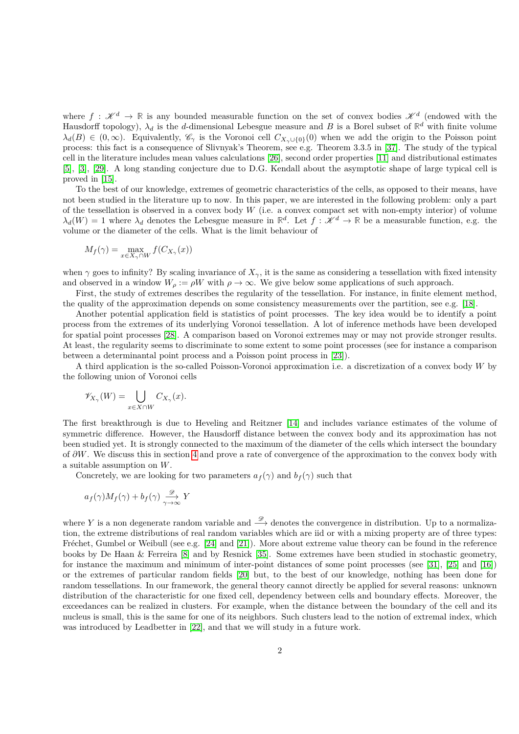where  $f: \mathcal{K}^d \to \mathbb{R}$  is any bounded measurable function on the set of convex bodies  $\mathcal{K}^d$  (endowed with the Hausdorff topology),  $\lambda_d$  is the *d*-dimensional Lebesgue measure and *B* is a Borel subset of  $\mathbb{R}^d$  with finite volume  $\lambda_d(B) \in (0,\infty)$ . Equivalently,  $\mathscr{C}_{\gamma}$  is the Voronoi cell  $C_{X_{\gamma}\cup\{0\}}(0)$  when we add the origin to the Poisson point process: this fact is a consequence of Slivnyak's Theorem, see e.g. Theorem 3.3.5 in [\[37\]](#page-21-4). The study of the typical cell in the literature includes mean values calculations [\[26\]](#page-21-6), second order properties [\[11\]](#page-20-2) and distributional estimates [\[5\]](#page-20-3), [\[3\]](#page-20-4), [\[29\]](#page-21-7). A long standing conjecture due to D.G. Kendall about the asymptotic shape of large typical cell is proved in [\[15\]](#page-20-5).

To the best of our knowledge, extremes of geometric characteristics of the cells, as opposed to their means, have not been studied in the literature up to now. In this paper, we are interested in the following problem: only a part of the tessellation is observed in a convex body *W* (i.e. a convex compact set with non-empty interior) of volume  $\lambda_d(W) = 1$  where  $\lambda_d$  denotes the Lebesgue measure in  $\mathbb{R}^d$ . Let  $f: \mathcal{K}^d \to \mathbb{R}$  be a measurable function, e.g. the volume or the diameter of the cells. What is the limit behaviour of

$$
M_f(\gamma) = \max_{x \in X_\gamma \cap W} f(C_{X_\gamma}(x))
$$

when  $\gamma$  goes to infinity? By scaling invariance of  $X_{\gamma}$ , it is the same as considering a tessellation with fixed intensity and observed in a window  $W_{\rho} := \rho W$  with  $\rho \to \infty$ . We give below some applications of such approach.

First, the study of extremes describes the regularity of the tessellation. For instance, in finite element method, the quality of the approximation depends on some consistency measurements over the partition, see e.g. [\[18\]](#page-20-6).

Another potential application field is statistics of point processes. The key idea would be to identify a point process from the extremes of its underlying Voronoi tessellation. A lot of inference methods have been developed for spatial point processes [\[28\]](#page-21-8). A comparison based on Voronoi extremes may or may not provide stronger results. At least, the regularity seems to discriminate to some extent to some point processes (see for instance a comparison between a determinantal point process and a Poisson point process in [\[23\]](#page-21-9)).

A third application is the so-called Poisson-Voronoi approximation i.e. a discretization of a convex body *W* by the following union of Voronoi cells

$$
\mathscr{V}_{X_{\gamma}}(W) = \bigcup_{x \in X \cap W} C_{X_{\gamma}}(x).
$$

The first breakthrough is due to Heveling and Reitzner [\[14\]](#page-20-7) and includes variance estimates of the volume of symmetric difference. However, the Hausdorff distance between the convex body and its approximation has not been studied yet. It is strongly connected to the maximum of the diameter of the cells which intersect the boundary of *∂W*. We discuss this in section [4](#page-12-0) and prove a rate of convergence of the approximation to the convex body with a suitable assumption on *W*.

Concretely, we are looking for two parameters  $a_f(\gamma)$  and  $b_f(\gamma)$  such that

$$
a_f(\gamma)M_f(\gamma) + b_f(\gamma) \xrightarrow[\gamma \to \infty]{\mathscr{D}} Y
$$

where Y is a non degenerate random variable and  $\stackrel{\mathscr{D}}{\longrightarrow}$  denotes the convergence in distribution. Up to a normalization, the extreme distributions of real random variables which are iid or with a mixing property are of three types: Fréchet, Gumbel or Weibull (see e.g. [\[24\]](#page-21-10) and [\[21\]](#page-21-11)). More about extreme value theory can be found in the reference books by De Haan & Ferreira [\[8\]](#page-20-8) and by Resnick [\[35\]](#page-21-12). Some extremes have been studied in stochastic geometry, for instance the maximum and minimum of inter-point distances of some point processes (see [\[31\]](#page-21-13), [\[25\]](#page-21-14) and [\[16\]](#page-20-9)) or the extremes of particular random fields [\[20\]](#page-21-15) but, to the best of our knowledge, nothing has been done for random tessellations. In our framework, the general theory cannot directly be applied for several reasons: unknown distribution of the characteristic for one fixed cell, dependency between cells and boundary effects. Moreover, the exceedances can be realized in clusters. For example, when the distance between the boundary of the cell and its nucleus is small, this is the same for one of its neighbors. Such clusters lead to the notion of extremal index, which was introduced by Leadbetter in [\[22\]](#page-21-16), and that we will study in a future work.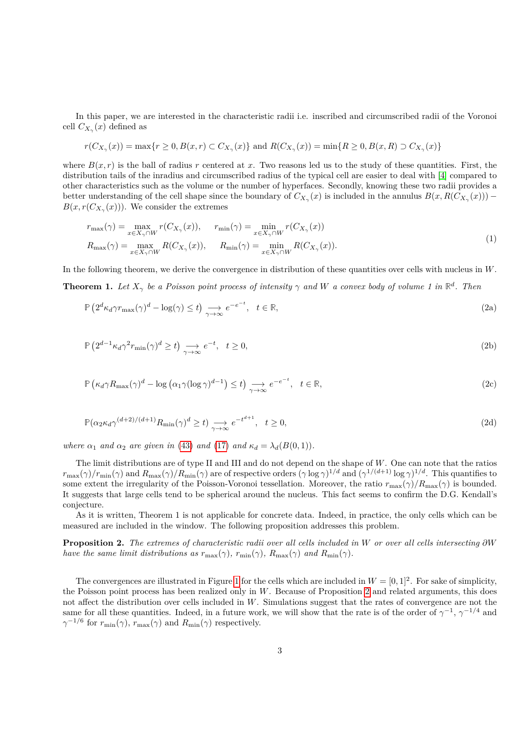In this paper, we are interested in the characteristic radii i.e. inscribed and circumscribed radii of the Voronoi cell  $C_{X_\gamma}(x)$  defined as

$$
r(C_{X_{\gamma}}(x)) = \max\{r \ge 0, B(x,r) \subset C_{X_{\gamma}}(x)\} \text{ and } R(C_{X_{\gamma}}(x)) = \min\{R \ge 0, B(x,R) \supset C_{X_{\gamma}}(x)\}
$$

where  $B(x, r)$  is the ball of radius r centered at x. Two reasons led us to the study of these quantities. First, the distribution tails of the inradius and circumscribed radius of the typical cell are easier to deal with [\[4\]](#page-20-10) compared to other characteristics such as the volume or the number of hyperfaces. Secondly, knowing these two radii provides a better understanding of the cell shape since the boundary of  $C_{X_\gamma}(x)$  is included in the annulus  $B(x, R(C_{X_\gamma}(x)))$  $B(x, r(C_{X_\gamma}(x)))$ . We consider the extremes

<span id="page-2-6"></span>
$$
r_{\max}(\gamma) = \max_{x \in X_{\gamma} \cap W} r(C_{X_{\gamma}}(x)), \quad r_{\min}(\gamma) = \min_{x \in X_{\gamma} \cap W} r(C_{X_{\gamma}}(x))
$$
  
\n
$$
R_{\max}(\gamma) = \max_{x \in X_{\gamma} \cap W} R(C_{X_{\gamma}}(x)), \quad R_{\min}(\gamma) = \min_{x \in X_{\gamma} \cap W} R(C_{X_{\gamma}}(x)).
$$
\n(1)

In the following theorem, we derive the convergence in distribution of these quantities over cells with nucleus in *W*.

<span id="page-2-1"></span>**Theorem 1.** Let  $X_{\gamma}$  be a Poisson point process of intensity  $\gamma$  and W a convex body of volume 1 in  $\mathbb{R}^{d}$ . Then

<span id="page-2-4"></span><span id="page-2-2"></span>
$$
\mathbb{P}\left(2^{d}\kappa_{d}\gamma r_{\max}(\gamma)^{d} - \log(\gamma) \leq t\right) \underset{\gamma \to \infty}{\longrightarrow} e^{-e^{-t}}, \quad t \in \mathbb{R},\tag{2a}
$$

<span id="page-2-5"></span>
$$
\mathbb{P}\left(2^{d-1}\kappa_d\gamma^2 r_{\min}(\gamma)^d \ge t\right) \underset{\gamma \to \infty}{\longrightarrow} e^{-t}, \quad t \ge 0,
$$
\n(2b)

<span id="page-2-3"></span>
$$
\mathbb{P}\left(\kappa_d \gamma R_{\max}(\gamma)^d - \log\left(\alpha_1 \gamma (\log \gamma)^{d-1}\right) \le t\right) \underset{\gamma \to \infty}{\longrightarrow} e^{-e^{-t}}, \quad t \in \mathbb{R},\tag{2c}
$$

$$
\mathbb{P}(\alpha_2 \kappa_d \gamma^{(d+2)/(d+1)} R_{\min}(\gamma)^d \ge t) \underset{\gamma \to \infty}{\longrightarrow} e^{-t^{d+1}}, \quad t \ge 0,
$$
\n(2d)

*where*  $\alpha_1$  *and*  $\alpha_2$  *are given in* [\(43\)](#page-13-0) *and* [\(17\)](#page-7-0) *and*  $\kappa_d = \lambda_d(B(0,1))$ *.* 

The limit distributions are of type II and III and do not depend on the shape of *W*. One can note that the ratios  $r_{\text{max}}(\gamma)/r_{\text{min}}(\gamma)$  and  $R_{\text{max}}(\gamma)/R_{\text{min}}(\gamma)$  are of respective orders  $(\gamma \log \gamma)^{1/d}$  and  $(\gamma^{1/(d+1)} \log \gamma)^{1/d}$ . This quantifies to some extent the irregularity of the Poisson-Voronoi tessellation. Moreover, the ratio  $r_{\text{max}}(\gamma)/R_{\text{max}}(\gamma)$  is bounded. It suggests that large cells tend to be spherical around the nucleus. This fact seems to confirm the D.G. Kendall's conjecture.

As it is written, Theorem 1 is not applicable for concrete data. Indeed, in practice, the only cells which can be measured are included in the window. The following proposition addresses this problem.

<span id="page-2-0"></span>**Proposition 2.** *The extremes of characteristic radii over all cells included in W or over all cells intersecting ∂W have the same limit distributions as*  $r_{\text{max}}(\gamma)$ ,  $r_{\text{min}}(\gamma)$ ,  $R_{\text{max}}(\gamma)$  *and*  $R_{\text{min}}(\gamma)$ *.* 

The convergences are illustrated in Figure [1](#page-2-0) for the cells which are included in  $W = [0, 1]^2$ . For sake of simplicity, the Poisson point process has been realized only in *W*. Because of Proposition [2](#page-2-0) and related arguments, this does not affect the distribution over cells included in *W*. Simulations suggest that the rates of convergence are not the same for all these quantities. Indeed, in a future work, we will show that the rate is of the order of  $\gamma^{-1}$ ,  $\gamma^{-1/4}$  and  $\gamma^{-1/6}$  for  $r_{\min}(\gamma)$ ,  $r_{\max}(\gamma)$  and  $R_{\min}(\gamma)$  respectively.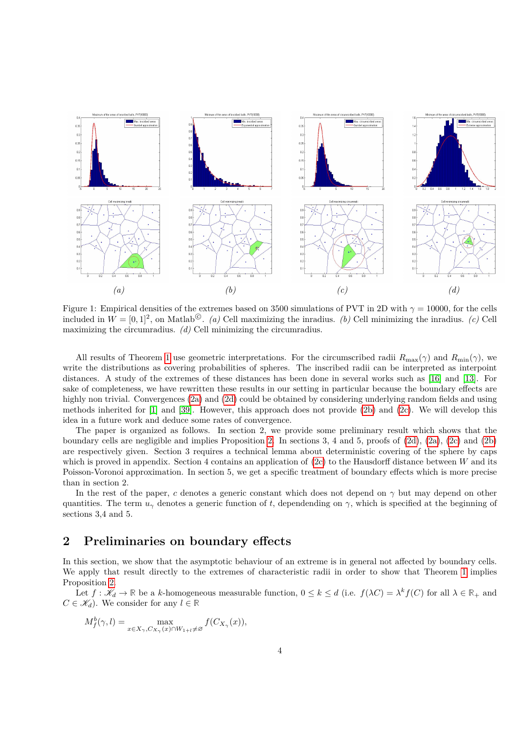

Figure 1: Empirical densities of the extremes based on 3500 simulations of PVT in 2D with  $\gamma = 10000$ , for the cells included in  $W = [0, 1]^2$ , on Matlab<sup>©</sup>. *(a)* Cell maximizing the inradius. *(b)* Cell minimizing the inradius. *(c)* Cell maximizing the circumradius. *(d)* Cell minimizing the circumradius.

All results of Theorem [1](#page-2-1) use geometric interpretations. For the circumscribed radii  $R_{\text{max}}(\gamma)$  and  $R_{\text{min}}(\gamma)$ , we write the distributions as covering probabilities of spheres. The inscribed radii can be interpreted as interpoint distances. A study of the extremes of these distances has been done in several works such as [\[16\]](#page-20-9) and [\[13\]](#page-20-11). For sake of completeness, we have rewritten these results in our setting in particular because the boundary effects are highly non trivial. Convergences [\(2a\)](#page-2-2) and [\(2d\)](#page-2-3) could be obtained by considering underlying random fields and using methods inherited for [\[1\]](#page-20-12) and [\[39\]](#page-22-0). However, this approach does not provide [\(2b\)](#page-2-4) and [\(2c\)](#page-2-5). We will develop this idea in a future work and deduce some rates of convergence.

The paper is organized as follows. In section 2, we provide some preliminary result which shows that the boundary cells are negligible and implies Proposition [2.](#page-2-0) In sections 3, 4 and 5, proofs of [\(2d\)](#page-2-3), [\(2a\)](#page-2-2), [\(2c\)](#page-2-5) and [\(2b\)](#page-2-4) are respectively given. Section 3 requires a technical lemma about deterministic covering of the sphere by caps which is proved in appendix. Section 4 contains an application of [\(2c\)](#page-2-5) to the Hausdorff distance between *W* and its Poisson-Voronoi approximation. In section 5, we get a specific treatment of boundary effects which is more precise than in section 2.

In the rest of the paper, *c* denotes a generic constant which does not depend on  $\gamma$  but may depend on other quantities. The term  $u_\gamma$  denotes a generic function of *t*, dependending on  $\gamma$ , which is specified at the beginning of sections 3,4 and 5.

### **2 Preliminaries on boundary effects**

In this section, we show that the asymptotic behaviour of an extreme is in general not affected by boundary cells. We apply that result directly to the extremes of characteristic radii in order to show that Theorem [1](#page-2-1) implies Proposition [2.](#page-2-0)

Let  $f: \mathcal{K}_d \to \mathbb{R}$  be a *k*-homogeneous measurable function,  $0 \leq k \leq d$  (i.e.  $f(\lambda C) = \lambda^k f(C)$  for all  $\lambda \in \mathbb{R}_+$  and  $C \in \mathcal{K}_d$ . We consider for any  $l \in \mathbb{R}$ 

$$
M_f^b(\gamma, l) = \max_{x \in X_\gamma, C_{X_\gamma}(x) \cap W_{1+l} \neq \varnothing} f(C_{X_\gamma}(x)),
$$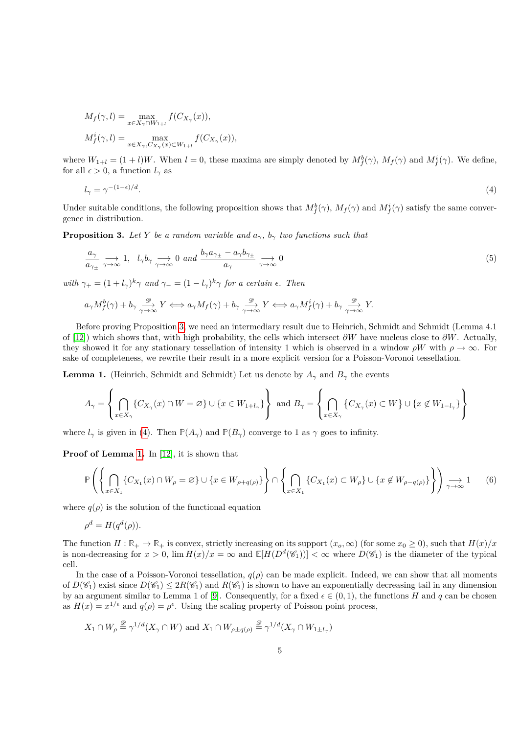$$
M_f(\gamma, l) = \max_{x \in X_{\gamma} \cap W_{1+l}} f(C_{X_{\gamma}}(x)),
$$
  

$$
M_f^i(\gamma, l) = \max_{x \in X_{\gamma}, C_{X_{\gamma}}(x) \subset W_{1+l}} f(C_{X_{\gamma}}(x)),
$$

where  $W_{1+l} = (1+l)W$ . When  $l = 0$ , these maxima are simply denoted by  $M_f^b(\gamma)$ ,  $M_f(\gamma)$  and  $M_f^i(\gamma)$ . We define, for all  $\epsilon > 0$ , a function  $l_{\gamma}$  as

<span id="page-4-1"></span>
$$
l_{\gamma} = \gamma^{-(1-\epsilon)/d}.\tag{4}
$$

Under suitable conditions, the following proposition shows that  $M_f^b(\gamma)$ ,  $M_f(\gamma)$  and  $M_f^i(\gamma)$  satisfy the same convergence in distribution.

<span id="page-4-0"></span>**Proposition 3.** Let *Y* be a random variable and  $a_{\gamma}$ ,  $b_{\gamma}$  two functions such that

<span id="page-4-4"></span>
$$
\frac{a_{\gamma}}{a_{\gamma\pm}} \underset{\gamma \to \infty}{\longrightarrow} 1, \quad l_{\gamma} b_{\gamma} \underset{\gamma \to \infty}{\longrightarrow} 0 \quad and \quad \frac{b_{\gamma} a_{\gamma\pm} - a_{\gamma} b_{\gamma\pm}}{a_{\gamma}} \underset{\gamma \to \infty}{\longrightarrow} 0 \tag{5}
$$

*with*  $\gamma_+ = (1 + l_\gamma)^k \gamma$  *and*  $\gamma_- = (1 - l_\gamma)^k \gamma$  *for a certain*  $\epsilon$ *. Then* 

$$
a_{\gamma}M_f^b(\gamma) + b_{\gamma} \xrightarrow[\gamma \to \infty]{\mathscr{D}} Y \Longleftrightarrow a_{\gamma}M_f(\gamma) + b_{\gamma} \xrightarrow[\gamma \to \infty]{\mathscr{D}} Y \Longleftrightarrow a_{\gamma}M_f^i(\gamma) + b_{\gamma} \xrightarrow[\gamma \to \infty]{\mathscr{D}} Y.
$$

Before proving Proposition [3,](#page-4-0) we need an intermediary result due to Heinrich, Schmidt and Schmidt (Lemma 4.1 of [\[12\]](#page-20-13)) which shows that, with high probability, the cells which intersect *∂W* have nucleus close to *∂W*. Actually, they showed it for any stationary tessellation of intensity 1 which is observed in a window  $\rho W$  with  $\rho \to \infty$ . For sake of completeness, we rewrite their result in a more explicit version for a Poisson-Voronoi tessellation.

<span id="page-4-2"></span>**Lemma 1.** (Heinrich, Schmidt and Schmidt) Let us denote by  $A_{\gamma}$  and  $B_{\gamma}$  the events

$$
A_\gamma=\left\{\bigcap_{x\in X_\gamma}\{C_{X_\gamma}(x)\cap W=\varnothing\}\cup\{x\in W_{1+l_\gamma}\}\right\}\text{ and }B_\gamma=\left\{\bigcap_{x\in X_\gamma}\{C_{X_\gamma}(x)\subset W\}\cup\{x\not\in W_{1-l_\gamma}\}\right\}
$$

where  $l_\gamma$  is given in [\(4\)](#page-4-1). Then  $\mathbb{P}(A_\gamma)$  and  $\mathbb{P}(B_\gamma)$  converge to 1 as  $\gamma$  goes to infinity.

**Proof of Lemma [1.](#page-4-2)** In [\[12\]](#page-20-13), it is shown that

<span id="page-4-3"></span>
$$
\mathbb{P}\left(\left\{\bigcap_{x\in X_1} \{C_{X_1}(x) \cap W_{\rho} = \varnothing\} \cup \{x \in W_{\rho+q(\rho)}\}\right\} \cap \left\{\bigcap_{x\in X_1} \{C_{X_1}(x) \subset W_{\rho}\} \cup \{x \notin W_{\rho-q(\rho)}\}\right\}\right) \underset{\gamma \to \infty}{\longrightarrow} 1 \tag{6}
$$

where  $q(\rho)$  is the solution of the functional equation

$$
\rho^d = H(q^d(\rho)).
$$

The function  $H : \mathbb{R}_+ \to \mathbb{R}_+$  is convex, strictly increasing on its support  $(x_o, \infty)$  (for some  $x_0 \ge 0$ ), such that  $H(x)/x$ is non-decreasing for  $x > 0$ ,  $\lim H(x)/x = \infty$  and  $\mathbb{E}[H(D^d(\mathscr{C}_1))] < \infty$  where  $D(\mathscr{C}_1)$  is the diameter of the typical cell.

In the case of a Poisson-Voronoi tessellation,  $q(\rho)$  can be made explicit. Indeed, we can show that all moments of  $D(\mathscr{C}_1)$  exist since  $D(\mathscr{C}_1) \leq 2R(\mathscr{C}_1)$  and  $R(\mathscr{C}_1)$  is shown to have an exponentially decreasing tail in any dimension by an argument similar to Lemma 1 of [\[9\]](#page-20-14). Consequently, for a fixed  $\epsilon \in (0,1)$ , the functions *H* and *q* can be chosen as  $H(x) = x^{1/\epsilon}$  and  $q(\rho) = \rho^{\epsilon}$ . Using the scaling property of Poisson point process,

$$
X_1 \cap W_{\rho} \stackrel{\mathscr{D}}{=} \gamma^{1/d}(X_{\gamma} \cap W) \text{ and } X_1 \cap W_{\rho \pm q(\rho)} \stackrel{\mathscr{D}}{=} \gamma^{1/d}(X_{\gamma} \cap W_{1 \pm l_{\gamma}})
$$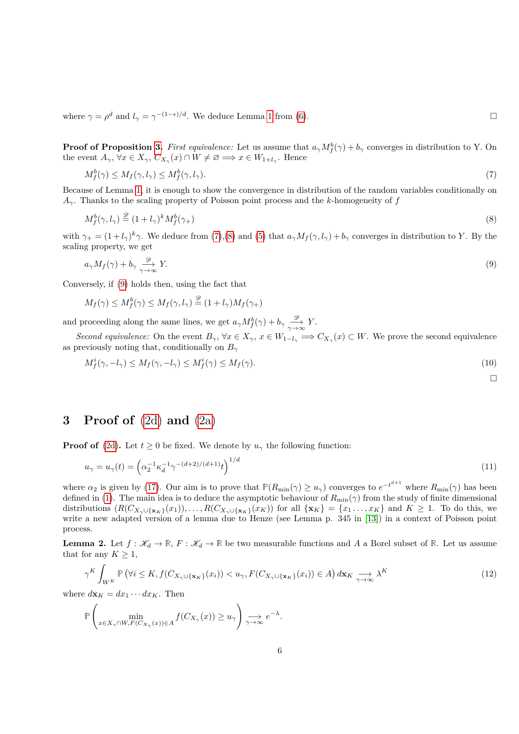where  $\gamma = \rho^d$  and  $l_{\gamma} = \gamma^{-(1-\epsilon)/d}$ . We deduce Lemma [1](#page-4-2) from [\(6\)](#page-4-3).

**Proof of Proposition [3.](#page-4-0)** First equivalence: Let us assume that  $a_{\gamma}M_f^b(\gamma) + b_{\gamma}$  converges in distribution to Y. On the event  $A_{\gamma}$ ,  $\forall x \in X_{\gamma}$ ,  $C_{X_{\gamma}}(x) \cap W \neq \emptyset \implies x \in W_{1+l_{\gamma}}$ . Hence

<span id="page-5-0"></span>
$$
M_f^b(\gamma) \le M_f(\gamma, l_\gamma) \le M_f^b(\gamma, l_\gamma). \tag{7}
$$

Because of Lemma [1,](#page-4-2) it is enough to show the convergence in distribution of the random variables conditionally on *Aγ*. Thanks to the scaling property of Poisson point process and the *k*-homogeneity of *f*

<span id="page-5-2"></span>
$$
M_f^b(\gamma, l_\gamma) \stackrel{\mathcal{D}}{=} (1 + l_\gamma)^k M_f^b(\gamma_+) \tag{8}
$$

with  $\gamma_+ = (1 + l_\gamma)^k \gamma$ . We deduce from [\(7\)](#page-5-0),[\(8\)](#page-5-1) and [\(5\)](#page-4-4) that  $a_\gamma M_f(\gamma, l_\gamma) + b_\gamma$  converges in distribution to *Y*. By the scaling property, we get

$$
a_{\gamma}M_f(\gamma) + b_{\gamma} \xrightarrow[\gamma \to \infty]{\mathscr{D}} Y. \tag{9}
$$

Conversely, if [\(9\)](#page-5-2) holds then, using the fact that

$$
M_f(\gamma) \le M_f^b(\gamma) \le M_f(\gamma, l_\gamma) \stackrel{\mathscr{D}}{=} (1 + l_\gamma) M_f(\gamma_+)
$$

and proceeding along the same lines, we get  $a_{\gamma}M_f^b(\gamma) + b_{\gamma} \xrightarrow[\gamma \to \infty]{\mathscr{D}} Y$ .

*Second equivalence:* On the event  $B_{\gamma}$ ,  $\forall x \in X_{\gamma}$ ,  $x \in W_{1-l_{\gamma}} \implies C_{X_{\gamma}}(x) \subset W$ . We prove the second equivalence as previously noting that, conditionally on *B<sup>γ</sup>*

$$
M_f^i(\gamma, -l_\gamma) \le M_f(\gamma, -l_\gamma) \le M_f^i(\gamma) \le M_f(\gamma). \tag{10}
$$

<span id="page-5-5"></span><span id="page-5-1"></span>
$$
\Box
$$

### **3 Proof of** [\(2d\)](#page-2-3) **and** [\(2a\)](#page-2-2)

**Proof of** [\(2d\)](#page-2-3). Let  $t \geq 0$  be fixed. We denote by  $u_{\gamma}$  the following function:

$$
u_{\gamma} = u_{\gamma}(t) = \left(\alpha_2^{-1} \kappa_d^{-1} \gamma^{-(d+2)/(d+1)} t\right)^{1/d} \tag{11}
$$

where  $\alpha_2$  is given by [\(17\)](#page-7-0). Our aim is to prove that  $\mathbb{P}(R_{\min}(\gamma) \geq u_\gamma)$  converges to  $e^{-t^{d+1}}$  where  $R_{\min}(\gamma)$  has been defined in [\(1\)](#page-2-6). The main idea is to deduce the asymptotic behaviour of  $R_{\min}(\gamma)$  from the study of finite dimensional distributions  $(R(C_{X_{\gamma}\cup\{\mathbf{x}_K\}}(x_1)),\ldots,R(C_{X_{\gamma}\cup\{\mathbf{x}_K\}}(x_K))$  for all  $\{\mathbf{x}_K\}=\{x_1,\ldots,x_K\}$  and  $K\geq 1$ . To do this, we write a new adapted version of a lemma due to Henze (see Lemma p. 345 in [\[13\]](#page-20-11)) in a context of Poisson point process.

<span id="page-5-3"></span>**Lemma 2.** Let  $f : \mathcal{K}_d \to \mathbb{R}$ ,  $F : \mathcal{K}_d \to \mathbb{R}$  be two measurable functions and A a Borel subset of  $\mathbb{R}$ . Let us assume that for any  $K \geq 1$ ,

<span id="page-5-4"></span>
$$
\gamma^K \int_{W^K} \mathbb{P} \left( \forall i \le K, f(C_{X_\gamma \cup \{\mathbf{x}_K\}}(x_i)) < u_\gamma, F(C_{X_\gamma \cup \{\mathbf{x}_K\}}(x_i)) \in A \right) d\mathbf{x}_K \underset{\gamma \to \infty}{\longrightarrow} \lambda^K \tag{12}
$$

where  $d\mathbf{x}_K = dx_1 \cdots dx_K$ . Then

$$
\mathbb{P}\left(\min_{x\in X_{\gamma}\cap W, F(C_{X_{\gamma}}(x))\in A} f(C_{X_{\gamma}}(x)) \ge u_{\gamma}\right) \underset{\gamma\to\infty}{\longrightarrow} e^{-\lambda}.
$$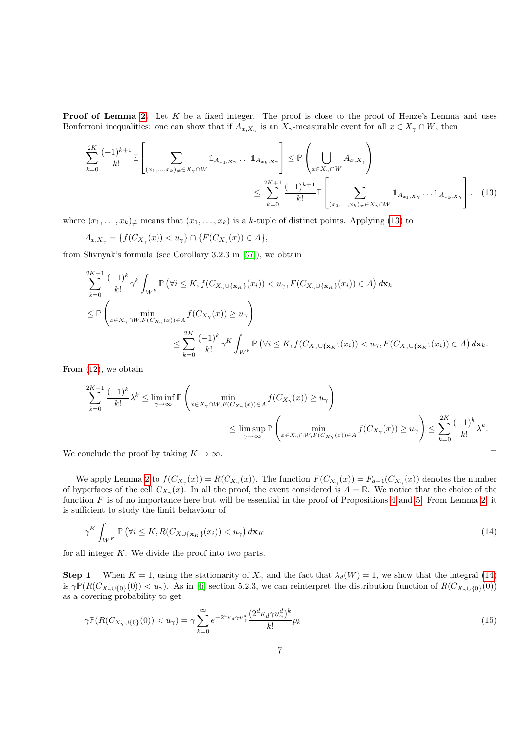**Proof of Lemma [2.](#page-5-3)** Let K be a fixed integer. The proof is close to the proof of Henze's Lemma and uses Bonferroni inequalities: one can show that if  $A_{x,X_\gamma}$  is an  $X_\gamma$ -measurable event for all  $x \in X_\gamma \cap W$ , then

<span id="page-6-0"></span>
$$
\sum_{k=0}^{2K} \frac{(-1)^{k+1}}{k!} \mathbb{E} \left[ \sum_{(x_1, \dots, x_k) \neq \in X_{\gamma} \cap W} \mathbb{1}_{A_{x_1, X_{\gamma}}} \dots \mathbb{1}_{A_{x_k, X_{\gamma}}} \right] \leq \mathbb{P} \left( \bigcup_{x \in X_{\gamma} \cap W} A_{x, X_{\gamma}} \right)
$$
\n
$$
\leq \sum_{k=0}^{2K+1} \frac{(-1)^{k+1}}{k!} \mathbb{E} \left[ \sum_{(x_1, \dots, x_k) \neq \in X_{\gamma} \cap W} \mathbb{1}_{A_{x_1, X_{\gamma}}} \dots \mathbb{1}_{A_{x_k, X_{\gamma}}} \right]. \tag{13}
$$

where  $(x_1, \ldots, x_k)$ <sub> $\neq$ </sub> means that  $(x_1, \ldots, x_k)$  is a *k*-tuple of distinct points. Applying [\(13\)](#page-6-0) to

$$
A_{x,X_{\gamma}} = \{f(C_{X_{\gamma}}(x)) < u_{\gamma}\} \cap \{F(C_{X_{\gamma}}(x)) \in A\},\
$$

from Slivnyak's formula (see Corollary 3.2.3 in [\[37\]](#page-21-4)), we obtain

$$
\sum_{k=0}^{2K+1} \frac{(-1)^k}{k!} \gamma^k \int_{W^k} \mathbb{P} \left( \forall i \leq K, f(C_{X_{\gamma} \cup \{\mathbf{x}_K\}}(x_i)) < u_{\gamma}, F(C_{X_{\gamma} \cup \{\mathbf{x}_K\}}(x_i)) \in A \right) d\mathbf{x}_k
$$
\n
$$
\leq \mathbb{P} \left( \min_{x \in X_{\gamma} \cap W, F(C_{X_{\gamma}}(x)) \in A} f(C_{X_{\gamma}}(x)) \geq u_{\gamma} \right)
$$
\n
$$
\leq \sum_{k=0}^{2K} \frac{(-1)^k}{k!} \gamma^K \int_{W^k} \mathbb{P} \left( \forall i \leq K, f(C_{X_{\gamma} \cup \{\mathbf{x}_K\}}(x_i)) < u_{\gamma}, F(C_{X_{\gamma} \cup \{\mathbf{x}_K\}}(x_i)) \in A \right) d\mathbf{x}_k.
$$

From [\(12\)](#page-5-4), we obtain

$$
\sum_{k=0}^{2K+1} \frac{(-1)^k}{k!} \lambda^k \le \liminf_{\gamma \to \infty} \mathbb{P}\left(\min_{x \in X_{\gamma} \cap W, F(C_{X_{\gamma}}(x)) \in A} f(C_{X_{\gamma}}(x)) \ge u_{\gamma}\right)
$$
  

$$
\le \limsup_{\gamma \to \infty} \mathbb{P}\left(\min_{x \in X_{\gamma} \cap W, F(C_{X_{\gamma}}(x)) \in A} f(C_{X_{\gamma}}(x)) \ge u_{\gamma}\right) \le \sum_{k=0}^{2K} \frac{(-1)^k}{k!} \lambda^k.
$$

We conclude the proof by taking  $K \to \infty$ .

We apply Lemma [2](#page-5-3) to  $f(C_{X_\gamma}(x)) = R(C_{X_\gamma}(x))$ . The function  $F(C_{X_\gamma}(x)) = F_{d-1}(C_{X_\gamma}(x))$  denotes the number of hyperfaces of the cell  $C_{X_\gamma}(x)$ . In all the proof, the event considered is  $A = \mathbb{R}$ . We notice that the choice of the function *F* is of no importance here but will be essential in the proof of Propositions [4](#page-10-0) and [5.](#page-11-0) From Lemma [2,](#page-5-3) it is sufficient to study the limit behaviour of

<span id="page-6-1"></span>
$$
\gamma^K \int_{W^K} \mathbb{P} \left( \forall i \le K, R(C_{X \cup \{\mathbf{x}_K\}}(x_i)) < u_\gamma \right) d\mathbf{x}_K \tag{14}
$$

for all integer *K*. We divide the proof into two parts.

**Step 1** When  $K = 1$ , using the stationarity of  $X_{\gamma}$  and the fact that  $\lambda_d(W) = 1$ , we show that the integral [\(14\)](#page-6-1) is  $\gamma \mathbb{P}(R(C_{X_\gamma \cup \{0\}}(0)) < u_\gamma)$ . As in [\[6\]](#page-20-1) section 5.2.3, we can reinterpret the distribution function of  $R(C_{X_\gamma \cup \{0\}}(0))$ as a covering probability to get

<span id="page-6-2"></span>
$$
\gamma \mathbb{P}(R(C_{X_{\gamma}\cup\{0\}}(0)) < u_{\gamma}) = \gamma \sum_{k=0}^{\infty} e^{-2^{d}\kappa_{d}\gamma u_{\gamma}^{d}} \frac{(2^{d}\kappa_{d}\gamma u_{\gamma}^{d})^{k}}{k!} p_{k}
$$
\n(15)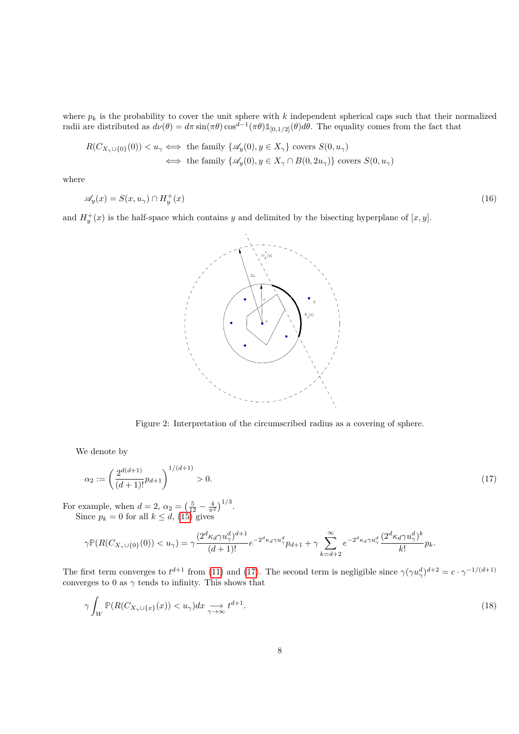where  $p_k$  is the probability to cover the unit sphere with  $k$  independent spherical caps such that their normalized radii are distributed as  $d\nu(\theta) = d\pi \sin(\pi\theta) \cos^{d-1}(\pi\theta) \mathbb{1}_{[0,1/2]}(\theta) d\theta$ . The equality comes from the fact that

$$
R(C_{X_{\gamma}\cup\{0\}}(0)) < u_{\gamma} \iff \text{the family } \{\mathscr{A}_y(0), y \in X_{\gamma}\} \text{ covers } S(0, u_{\gamma})
$$
  

$$
\iff \text{the family } \{\mathscr{A}_y(0), y \in X_{\gamma} \cap B(0, 2u_{\gamma})\} \text{ covers } S(0, u_{\gamma})
$$

where

<span id="page-7-2"></span>
$$
\mathscr{A}_y(x) = S(x, u_\gamma) \cap H_y^+(x) \tag{16}
$$

and  $H_y^+(x)$  is the half-space which contains *y* and delimited by the bisecting hyperplane of  $[x, y]$ .



<span id="page-7-0"></span>Figure 2: Interpretation of the circumscribed radius as a covering of sphere.

We denote by

$$
\alpha_2 := \left(\frac{2^{d(d+1)}}{(d+1)!}p_{d+1}\right)^{1/(d+1)} > 0. \tag{17}
$$

For example, when  $d = 2$ ,  $\alpha_2 = \left(\frac{5}{12} - \frac{4}{\pi^2}\right)^{1/3}$ . Since  $p_k = 0$  for all  $k \leq d$ , [\(15\)](#page-6-2) gives

$$
\gamma \mathbb{P}(R(C_{X_{\gamma}\cup\{0\}}(0)) < u_{\gamma}) = \gamma \frac{(2^d\kappa_d\gamma u_{\gamma}^d)^{d+1}}{(d+1)!}e^{-2^d\kappa_d\gamma u_{\gamma}^d}p_{d+1} + \gamma \sum_{k=d+2}^{\infty}e^{-2^d\kappa_d\gamma u_{\gamma}^d} \frac{(2^d\kappa_d\gamma u_{\gamma}^d)^k}{k!}p_k.
$$

The first term converges to  $t^{d+1}$  from [\(11\)](#page-5-5) and [\(17\)](#page-7-0). The second term is negligible since  $\gamma(\gamma u_\gamma^d)^{d+2} = c \cdot \gamma^{-1/(d+1)}$ converges to 0 as  $\gamma$  tends to infinity. This shows that

<span id="page-7-1"></span>
$$
\gamma \int_W \mathbb{P}(R(C_{X_\gamma \cup \{x\}}(x)) < u_\gamma) dx \underset{\gamma \to \infty}{\longrightarrow} t^{d+1}.\tag{18}
$$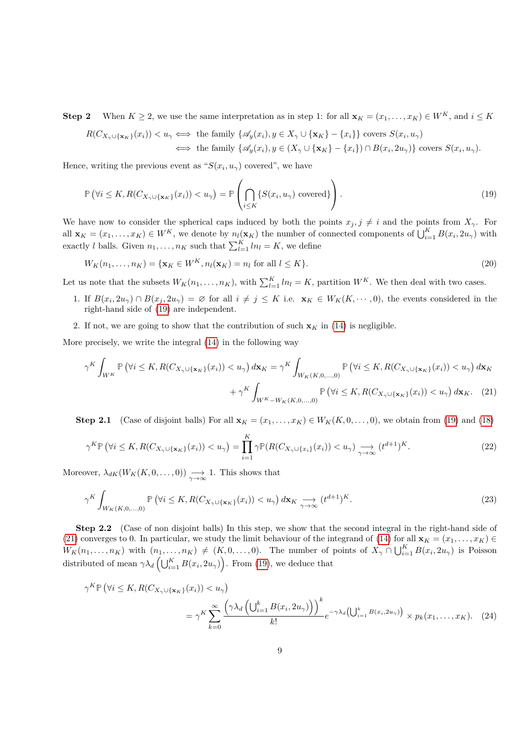**Step 2** When  $K \geq 2$ , we use the same interpretation as in step 1: for all  $\mathbf{x}_K = (x_1, \ldots, x_K) \in W^K$ , and  $i \leq K$ 

<span id="page-8-0"></span>
$$
R(C_{X_{\gamma}\cup\{\mathbf{x}_K\}}(x_i)) < u_{\gamma} \iff \text{the family } \{\mathscr{A}_y(x_i), y \in X_{\gamma} \cup \{\mathbf{x}_K\} - \{x_i\}\} \text{ covers } S(x_i, u_{\gamma})
$$
  

$$
\iff \text{the family } \{\mathscr{A}_y(x_i), y \in (X_{\gamma} \cup \{\mathbf{x}_K\} - \{x_i\}) \cap B(x_i, 2u_{\gamma})\} \text{ covers } S(x_i, u_{\gamma}).
$$

Hence, writing the previous event as " $S(x_i, u_\gamma)$  covered", we have

$$
\mathbb{P}\left(\forall i \leq K, R(C_{X_{\gamma}\cup\{\mathbf{x}_{K}\}}(x_{i})) < u_{\gamma}\right) = \mathbb{P}\left(\bigcap_{i \leq K} \{S(x_{i}, u_{\gamma}) \text{ covered}\}\right).
$$
\n(19)

We have now to consider the spherical caps induced by both the points  $x_j, j \neq i$  and the points from  $X_\gamma$ . For all  $\mathbf{x}_K = (x_1, \dots, x_K) \in W^K$ , we denote by  $n_l(\mathbf{x}_K)$  the number of connected components of  $\bigcup_{i=1}^K B(x_i, 2u_\gamma)$  with exactly *l* balls. Given  $n_1, \ldots, n_K$  such that  $\sum_{l=1}^K ln_l = K$ , we define

$$
W_K(n_1,\ldots,n_K) = \{ \mathbf{x}_K \in W^K, n_l(\mathbf{x}_K) = n_l \text{ for all } l \le K \}. \tag{20}
$$

Let us note that the subsets  $W_K(n_1, \ldots, n_K)$ , with  $\sum_{l=1}^K ln_l = K$ , partition  $W^K$ . We then deal with two cases.

- 1. If  $B(x_i, 2u_\gamma) \cap B(x_j, 2u_\gamma) = \emptyset$  for all  $i \neq j \leq K$  i.e.  $\mathbf{x}_K \in W_K(K, \dots, 0)$ , the events considered in the right-hand side of [\(19\)](#page-8-0) are independent.
- 2. If not, we are going to show that the contribution of such  $\mathbf{x}_K$  in [\(14\)](#page-6-1) is negligible.

More precisely, we write the integral [\(14\)](#page-6-1) in the following way

<span id="page-8-1"></span>
$$
\gamma^K \int_{W^K} \mathbb{P} \left( \forall i \le K, R(C_{X_{\gamma} \cup \{\mathbf{x}_K\}}(x_i)) < u_{\gamma} \right) d\mathbf{x}_K = \gamma^K \int_{W_K(K,0,\dots,0)} \mathbb{P} \left( \forall i \le K, R(C_{X_{\gamma} \cup \{\mathbf{x}_K\}}(x_i)) < u_{\gamma} \right) d\mathbf{x}_K
$$
\n
$$
+ \gamma^K \int_{W^K - W_K(K,0,\dots,0)} \mathbb{P} \left( \forall i \le K, R(C_{X_{\gamma} \cup \{\mathbf{x}_K\}}(x_i)) < u_{\gamma} \right) d\mathbf{x}_K. \tag{21}
$$

**Step 2.1** (Case of disjoint balls) For all  $\mathbf{x}_K = (x_1, \ldots, x_K) \in W_K(K, 0, \ldots, 0)$ , we obtain from [\(19\)](#page-8-0) and [\(18\)](#page-7-1)

<span id="page-8-3"></span>
$$
\gamma^K \mathbb{P}\left(\forall i \leq K, R(C_{X_{\gamma} \cup \{\mathbf{x}_K\}}(x_i)) < u_{\gamma}\right) = \prod_{i=1}^K \gamma \mathbb{P}(R(C_{X_{\gamma} \cup \{x_i\}}(x_i)) < u_{\gamma}) \underset{\gamma \to \infty}{\longrightarrow} (t^{d+1})^K. \tag{22}
$$

Moreover,  $\lambda_{dK}(W_K(K,0,\ldots,0)) \longrightarrow 1$ . This shows that

$$
\gamma^K \int_{W_K(K,0,\ldots,0)} \mathbb{P}\left(\forall i \leq K, R(C_{X_\gamma \cup \{\mathbf{x}_K\}}(x_i)) < u_\gamma\right) d\mathbf{x}_K \underset{\gamma \to \infty}{\longrightarrow} (t^{d+1})^K. \tag{23}
$$

**Step 2.2** (Case of non disjoint balls) In this step, we show that the second integral in the right-hand side of [\(21\)](#page-8-1) converges to 0. In particular, we study the limit behaviour of the integrand of [\(14\)](#page-6-1) for all  $\mathbf{x}_K = (x_1, \ldots, x_K) \in$  $W_K(n_1,\ldots,n_K)$  with  $(n_1,\ldots,n_K) \neq (K,0,\ldots,0)$ . The number of points of  $X_\gamma \cap \bigcup_{i=1}^K B(x_i,2u_\gamma)$  is Poisson distributed of mean  $\gamma \lambda_d \left( \bigcup_{i=1}^K B(x_i, 2u_\gamma) \right)$ . From [\(19\)](#page-8-0), we deduce that

<span id="page-8-2"></span>
$$
\gamma^{K} \mathbb{P} \left( \forall i \leq K, R(C_{X_{\gamma} \cup \{\mathbf{x}_{K}\}}(x_{i})) < u_{\gamma} \right)
$$
\n
$$
= \gamma^{K} \sum_{k=0}^{\infty} \frac{\left( \gamma \lambda_{d} \left( \bigcup_{i=1}^{k} B(x_{i}, 2u_{\gamma}) \right) \right)^{k}}{k!} e^{-\gamma \lambda_{d} \left( \bigcup_{i=1}^{k} B(x_{i}, 2u_{\gamma}) \right)} \times p_{k}(x_{1}, \dots, x_{K}). \quad (24)
$$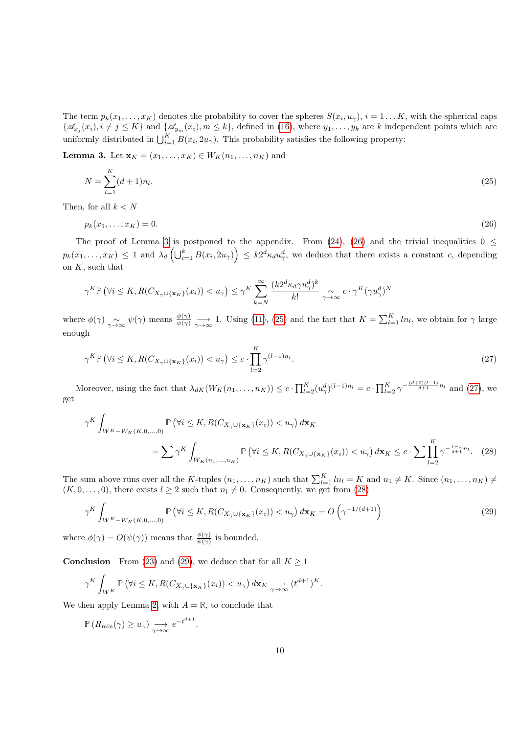The term  $p_k(x_1, \ldots, x_K)$  denotes the probability to cover the spheres  $S(x_i, u_\gamma)$ ,  $i = 1 \ldots K$ , with the spherical caps  $\{\mathscr{A}_{x_j}(x_i), i \neq j \leq K\}$  and  $\{\mathscr{A}_{y_m}(x_i), m \leq k\}$ , defined in [\(16\)](#page-7-2), where  $y_1, \ldots, y_k$  are k independent points which are uniformly distributed in  $\bigcup_{i=1}^{K} B(x_i, 2u_\gamma)$ . This probability satisfies the following property:

<span id="page-9-0"></span>**Lemma 3.** Let  $\mathbf{x}_K = (x_1, ..., x_K) \in W_K(n_1, ..., n_K)$  and

<span id="page-9-2"></span>
$$
N = \sum_{l=1}^{K} (d+1)n_l.
$$
\n(25)

Then, for all *k < N*

<span id="page-9-1"></span>
$$
p_k(x_1,\ldots,x_K)=0.\tag{26}
$$

The proof of Lemma [3](#page-9-0) is postponed to the appendix. From [\(24\)](#page-8-2), [\(26\)](#page-9-1) and the trivial inequalities  $0 \leq$  $p_k(x_1,\ldots,x_K) \leq 1$  and  $\lambda_d\left(\bigcup_{i=1}^k B(x_i, 2u_\gamma)\right) \leq k2^d\kappa_d u_\gamma^d$ , we deduce that there exists a constant c, depending on *K*, such that

$$
\gamma^{K}\mathbb{P}\left(\forall i\leq K, R(C_{X_{\gamma}\cup\{\mathbf{x}_{K}\}}(x_{i}))
$$

where  $\phi(\gamma) \sim \phi(\gamma)$  means  $\frac{\phi(\gamma)}{\psi(\gamma)} \longrightarrow 1$ . Using [\(11\)](#page-5-5), [\(25\)](#page-9-2) and the fact that  $K = \sum_{l=1}^{K} ln_l$ , we obtain for  $\gamma$  large enough

<span id="page-9-3"></span>
$$
\gamma^{K} \mathbb{P} \left( \forall i \leq K, R(C_{X_{\gamma} \cup \{\mathbf{x}_{K}\}}(x_{i})) < u_{\gamma} \right) \leq c \cdot \prod_{l=2}^{K} \gamma^{(l-1)n_{l}}.
$$
\n(27)

Moreover, using the fact that  $\lambda_{dK}(W_K(n_1,\ldots,n_K)) \leq c \cdot \prod_{l=2}^K (u_{\gamma}^d)^{(l-1)n_l} = c \cdot \prod_{l=2}^K \gamma^{-\frac{(d+2)(l-1)}{d+1}n_l}$  and [\(27\)](#page-9-3), we get

$$
\gamma^K \int_{W^K - W_K(K, 0, \dots, 0)} \mathbb{P} \left( \forall i \le K, R(C_{X_\gamma \cup \{\mathbf{x}_K\}}(x_i)) < u_\gamma \right) d\mathbf{x}_K
$$
  
= 
$$
\sum \gamma^K \int_{W_K(n_1, \dots, n_K)} \mathbb{P} \left( \forall i \le K, R(C_{X_\gamma \cup \{\mathbf{x}_K\}}(x_i)) < u_\gamma \right) d\mathbf{x}_K \le c \cdot \sum \prod_{l=2}^K \gamma^{-\frac{l-1}{d+1}n_l}.
$$
 (28)

The sum above runs over all the *K*-tuples  $(n_1, \ldots, n_K)$  such that  $\sum_{l=1}^K ln_l = K$  and  $n_1 \neq K$ . Since  $(n_1, \ldots, n_K) \neq K$  $(K, 0, \ldots, 0)$ , there exists  $l \geq 2$  such that  $n_l \neq 0$ . Consequently, we get from [\(28\)](#page-9-4)

$$
\gamma^K \int_{W^K - W_K(K, 0, \dots, 0)} \mathbb{P}\left(\forall i \le K, R(C_{X_\gamma \cup \{\mathbf{x}_K\}}(x_i)) < u_\gamma\right) d\mathbf{x}_K = O\left(\gamma^{-1/(d+1)}\right) \tag{29}
$$

where  $\phi(\gamma) = O(\psi(\gamma))$  means that  $\frac{\phi(\gamma)}{\psi(\gamma)}$  is bounded.

**Conclusion** From [\(23\)](#page-8-3) and [\(29\)](#page-9-5), we deduce that for all  $K \geq 1$ 

$$
\gamma^K \int_{W^K} \mathbb{P}\left(\forall i \leq K, R(C_{X_\gamma \cup \{\mathbf{x}_K\}}(x_i)) < u_\gamma\right) d\mathbf{x}_K \underset{\gamma \to \infty}{\longrightarrow} (t^{d+1})^K.
$$

<span id="page-9-5"></span><span id="page-9-4"></span>*.*

We then apply Lemma [2,](#page-5-3) with  $A = \mathbb{R}$ , to conclude that

$$
\mathbb{P}\left(R_{\min}(\gamma) \ge u_{\gamma}\right) \underset{\gamma \to \infty}{\longrightarrow} e^{-t^{d+1}}
$$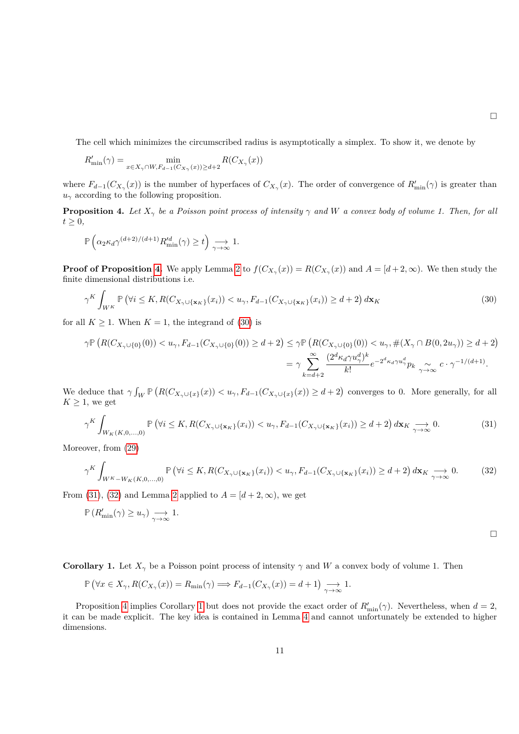The cell which minimizes the circumscribed radius is asymptotically a simplex. To show it, we denote by

$$
R'_{\min}(\gamma) = \min_{x \in X_{\gamma} \cap W, F_{d-1}(C_{X_{\gamma}}(x)) \ge d+2} R(C_{X_{\gamma}}(x))
$$

where  $F_{d-1}(C_{X_{\gamma}}(x))$  is the number of hyperfaces of  $C_{X_{\gamma}}(x)$ . The order of convergence of  $R'_{\min}(\gamma)$  is greater than  $u_{\gamma}$  according to the following proposition.

<span id="page-10-0"></span>**Proposition 4.** Let  $X_{\gamma}$  be a Poisson point process of intensity  $\gamma$  and W a convex body of volume 1. Then, for all  $t \geq 0$ ,

$$
\mathbb{P}\left(\alpha_2\kappa_d\gamma^{(d+2)/(d+1)} R'^d_{\min}(\gamma)\geq t\right)\underset{\gamma\rightarrow\infty}{\longrightarrow} 1.
$$

**Proof of Proposition [4.](#page-10-0)** We apply Lemma [2](#page-5-3) to  $f(C_{X_\gamma}(x)) = R(C_{X_\gamma}(x))$  and  $A = [d+2,\infty)$ . We then study the finite dimensional distributions i.e.

<span id="page-10-1"></span>
$$
\gamma^K \int_{W^K} \mathbb{P}\left(\forall i \leq K, R(C_{X_\gamma \cup \{\mathbf{x}_K\}}(x_i)) < u_\gamma, F_{d-1}(C_{X_\gamma \cup \{\mathbf{x}_K\}}(x_i)) \geq d+2\right) d\mathbf{x}_K\tag{30}
$$

for all  $K \geq 1$ . When  $K = 1$ , the integrand of [\(30\)](#page-10-1) is

$$
\gamma \mathbb{P}\left(R(C_{X_{\gamma}\cup\{0\}}(0)) < u_{\gamma}, F_{d-1}(C_{X_{\gamma}\cup\{0\}}(0)) \geq d+2\right) \leq \gamma \mathbb{P}\left(R(C_{X_{\gamma}\cup\{0\}}(0)) < u_{\gamma}, \#(X_{\gamma}\cap B(0, 2u_{\gamma})) \geq d+2\right) \\
= \gamma \sum_{k=d+2}^{\infty} \frac{(2^{d}\kappa_{d}\gamma u_{\gamma}^{d})^{k}}{k!} e^{-2^{d}\kappa_{d}\gamma u_{\gamma}^{d}} p_{k} \underset{\gamma \to \infty}{\sim} c \cdot \gamma^{-1/(d+1)}.
$$

We deduce that  $\gamma \int_W \mathbb{P}\left(R(C_{X_\gamma \cup \{x\}}(x)) \langle u_\gamma, F_{d-1}(C_{X_\gamma \cup \{x\}}(x)) \rangle \geq d+2\right)$  converges to 0. More generally, for all  $K \geq 1$ , we get

<span id="page-10-2"></span>
$$
\gamma^K \int_{W_K(K,0,\ldots,0)} \mathbb{P}\left(\forall i \le K, R(C_{X_\gamma \cup \{\mathbf{x}_K\}}(x_i)) < u_\gamma, F_{d-1}(C_{X_\gamma \cup \{\mathbf{x}_K\}}(x_i)) \ge d+2\right) d\mathbf{x}_K \underset{\gamma \to \infty}{\longrightarrow} 0. \tag{31}
$$

Moreover, from [\(29\)](#page-9-5)

<span id="page-10-3"></span>
$$
\gamma^K \int_{W^K - W_K(K, 0, \dots, 0)} \mathbb{P}\left(\forall i \le K, R(C_{X_\gamma \cup \{\mathbf{x}_K\}}(x_i)) < u_\gamma, F_{d-1}(C_{X_\gamma \cup \{\mathbf{x}_K\}}(x_i)) \ge d+2\right) d\mathbf{x}_K \underset{\gamma \to \infty}{\longrightarrow} 0. \tag{32}
$$

From [\(31\)](#page-10-2), [\(32\)](#page-10-3) and Lemma [2](#page-5-3) applied to  $A = [d+2, \infty)$ , we get

$$
\mathbb{P}\left(R'_{\min}(\gamma) \geq u_\gamma \right) \underset{\gamma \to \infty}{\longrightarrow} 1.
$$

 $\Box$ 

<span id="page-10-4"></span>**Corollary 1.** Let  $X_\gamma$  be a Poisson point process of intensity  $\gamma$  and *W* a convex body of volume 1. Then

$$
\mathbb{P}\left(\forall x \in X_{\gamma}, R(C_{X_{\gamma}}(x)) = R_{\min}(\gamma) \Longrightarrow F_{d-1}(C_{X_{\gamma}}(x)) = d+1\right) \underset{\gamma \to \infty}{\longrightarrow} 1.
$$

Proposition [4](#page-10-0) implies Corollary [1](#page-10-4) but does not provide the exact order of  $R'_{\text{min}}(\gamma)$ . Nevertheless, when  $d = 2$ , it can be made explicit. The key idea is contained in Lemma [4](#page-12-1) and cannot unfortunately be extended to higher dimensions.

 $\Box$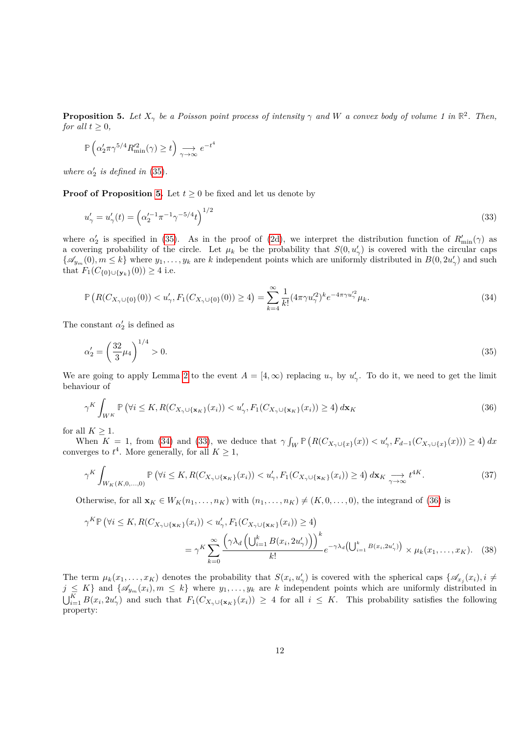<span id="page-11-0"></span>**Proposition 5.** Let  $X_{\gamma}$  be a Poisson point process of intensity  $\gamma$  and W a convex body of volume 1 in  $\mathbb{R}^2$ . Then, *for all*  $t > 0$ *,* 

<span id="page-11-3"></span>
$$
\mathbb{P}\left(\alpha_2'\pi\gamma^{5/4}R_{\min}^{\prime 2}(\gamma) \ge t\right) \underset{\gamma \to \infty}{\longrightarrow} e^{-t^4}
$$

*where*  $\alpha'_2$  *is defined in* [\(35\)](#page-11-1)*.* 

**Proof of Proposition [5.](#page-11-0)** Let  $t \geq 0$  be fixed and let us denote by

$$
u'_{\gamma} = u'_{\gamma}(t) = \left(\alpha_2'^{-1} \pi^{-1} \gamma^{-5/4} t\right)^{1/2} \tag{33}
$$

where  $\alpha'_{2}$  is specified in [\(35\)](#page-11-1). As in the proof of [\(2d\)](#page-2-3), we interpret the distribution function of  $R'_{\text{min}}(\gamma)$  as a covering probability of the circle. Let  $\mu_k$  be the probability that  $S(0, u'_\gamma)$  is covered with the circular caps  $\{\mathscr{A}_{y_m}(0), m \leq k\}$  where  $y_1, \ldots, y_k$  are *k* independent points which are uniformly distributed in  $B(0, 2u'_\gamma)$  and such that  $F_1(C_{\{0\} \cup \{y_k\}}(0)) \geq 4$  i.e.

<span id="page-11-2"></span>
$$
\mathbb{P}\left(R(C_{X_{\gamma}\cup\{0\}}(0)) < u_{\gamma}', F_1(C_{X_{\gamma}\cup\{0\}}(0)) \ge 4\right) = \sum_{k=4}^{\infty} \frac{1}{k!} (4\pi \gamma u_{\gamma}^{\prime 2})^k e^{-4\pi \gamma u_{\gamma}^{\prime 2}} \mu_k. \tag{34}
$$

The constant  $\alpha'_2$  is defined as

<span id="page-11-1"></span>
$$
\alpha_2' = \left(\frac{32}{3}\mu_4\right)^{1/4} > 0.\tag{35}
$$

We are going to apply Lemma [2](#page-5-3) to the event  $A = [4, \infty)$  replacing  $u_{\gamma}$  by  $u'_{\gamma}$ . To do it, we need to get the limit behaviour of

<span id="page-11-4"></span>
$$
\gamma^K \int_{W^K} \mathbb{P}\left(\forall i \leq K, R(C_{X_\gamma \cup \{\mathbf{x}_K\}}(x_i)) < u_\gamma', F_1(C_{X_\gamma \cup \{\mathbf{x}_K\}}(x_i)) \geq 4\right) d\mathbf{x}_K\tag{36}
$$

for all  $K \geq 1$ .

When  $K = 1$ , from [\(34\)](#page-11-2) and [\(33\)](#page-11-3), we deduce that  $\gamma \int_W \mathbb{P} (R(C_{X_\gamma \cup \{x\}}(x)) < u'_\gamma, F_{d-1}(C_{X_\gamma \cup \{x\}}(x))) \geq 4) dx$ converges to  $t^4$ . More generally, for all  $K \geq 1$ ,

<span id="page-11-6"></span>
$$
\gamma^K \int_{W_K(K,0,\ldots,0)} \mathbb{P}\left(\forall i \leq K, R(C_{X_\gamma \cup \{\mathbf{x}_K\}}(x_i)) < u_\gamma', F_1(C_{X_\gamma \cup \{\mathbf{x}_K\}}(x_i)) \geq 4\right) d\mathbf{x}_K \underset{\gamma \to \infty}{\longrightarrow} t^{4K}.\tag{37}
$$

Otherwise, for all  $\mathbf{x}_K \in W_K(n_1, \ldots, n_K)$  with  $(n_1, \ldots, n_K) \neq (K, 0, \ldots, 0)$ , the integrand of [\(36\)](#page-11-4) is

<span id="page-11-5"></span>
$$
\gamma^{K} \mathbb{P} \left( \forall i \leq K, R(C_{X_{\gamma} \cup \{\mathbf{x}_{K}\}}(x_{i})) < u_{\gamma}', F_{1}(C_{X_{\gamma} \cup \{\mathbf{x}_{K}\}}(x_{i})) \geq 4 \right)
$$
\n
$$
= \gamma^{K} \sum_{k=0}^{\infty} \frac{\left( \gamma \lambda_{d} \left( \bigcup_{i=1}^{k} B(x_{i}, 2u_{\gamma}') \right) \right)^{k}}{k!} e^{-\gamma \lambda_{d} \left( \bigcup_{i=1}^{k} B(x_{i}, 2u_{\gamma}') \right)} \times \mu_{k}(x_{1}, \dots, x_{K}). \quad (38)
$$

The term  $\mu_k(x_1,\ldots,x_K)$  denotes the probability that  $S(x_i,u'_\gamma)$  is covered with the spherical caps  $\{\mathscr{A}_{x_i}(x_i), i\neq i\}$  $j \leq K$ } and  $\{\mathscr{A}_{y_m}(x_i), m \leq k\}$  where  $y_1, \ldots, y_k$  are *k* independent points which are uniformly distributed in  $\bigcup_{i=1}^K B(x_i, 2u'_\gamma)$  and such that  $F_1(C_{X_\gamma\cup\{\mathbf{x}_K\}}(x_i)) \geq 4$  for all  $i \leq K$ . This probability satisfies the following property: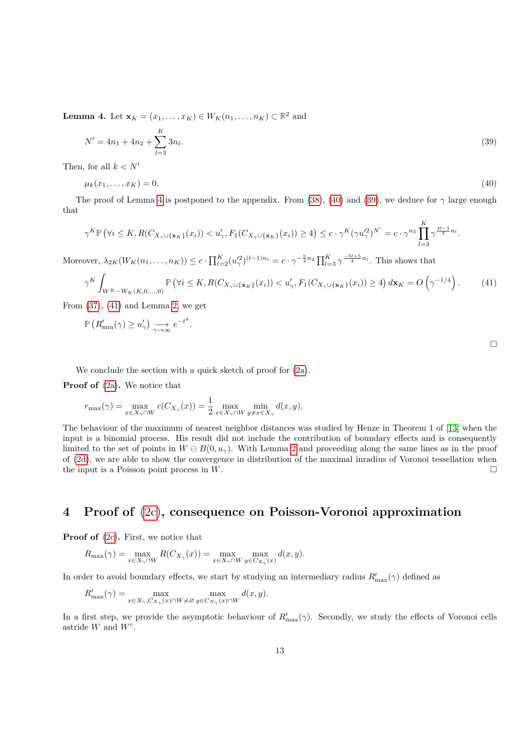<span id="page-12-1"></span>**Lemma 4.** Let  $\mathbf{x}_K = (x_1, ..., x_K) \in W_K(n_1, ..., n_K) \subset \mathbb{R}^2$  and

<span id="page-12-3"></span>
$$
N' = 4n_1 + 4n_2 + \sum_{l=3}^{K} 3n_l.
$$
\n(39)

Then, for all  $k < N'$ 

<span id="page-12-2"></span>
$$
\mu_k(x_1,\ldots,x_K) = 0.\tag{40}
$$

The proof of Lemma [4](#page-12-1) is postponed to the appendix. From [\(38\)](#page-11-5), [\(40\)](#page-12-2) and [\(39\)](#page-12-3), we deduce for  $\gamma$  large enough that

$$
\gamma^K \mathbb{P} \left( \forall i \leq K, R(C_{X_{\gamma} \cup \{ \mathbf{x}_K \}}(x_i)) < u'_{\gamma}, F_1(C_{X_{\gamma} \cup \{ \mathbf{x}_K \}}(x_i)) \geq 4 \right) \leq c \cdot \gamma^K (\gamma u'^2_{\gamma})^{N'} = c \cdot \gamma^{n_2} \prod_{l=3}^K \gamma^{\frac{4l-3}{4}n_l}.
$$

Moreover,  $\lambda_{2K}(W_K(n_1,\ldots,n_K)) \le c \cdot \prod_{l=2}^K (u'^2_\gamma)^{(l-1)n_l} = c \cdot \gamma^{-\frac{5}{4}n_2} \prod_{l=3}^K \gamma^{\frac{-5l+5}{4}n_l}$ . This shows that

<span id="page-12-4"></span>
$$
\gamma^K \int_{W^K - W_K(K, 0, \dots, 0)} \mathbb{P}\left(\forall i \le K, R(C_{X_\gamma \cup \{\mathbf{x}_K\}}(x_i)) < u_\gamma', F_1(C_{X_\gamma \cup \{\mathbf{x}_K\}}(x_i)) \ge 4\right) d\mathbf{x}_K = O\left(\gamma^{-1/4}\right). \tag{41}
$$

From  $(37)$ ,  $(41)$  and Lemma [2,](#page-5-3) we get

$$
\mathbb{P}\left(R'_{\min}(\gamma) \ge u'_{\gamma}\right) \underset{\gamma \to \infty}{\longrightarrow} e^{-t^4}.
$$

We conclude the section with a quick sketch of proof for [\(2a\)](#page-2-2).

**Proof of** [\(2a\)](#page-2-2)**.** We notice that

$$
r_{\max}(\gamma) = \max_{x \in X_{\gamma} \cap W} r(C_{X_{\gamma}}(x)) = \frac{1}{2} \max_{x \in X_{\gamma} \cap W} \min_{y \neq x \in X_{\gamma}} d(x, y).
$$

The behaviour of the maximum of nearest neighbor distances was studied by Henze in Theorem 1 of [\[13\]](#page-20-11) when the input is a binomial process. His result did not include the contribution of boundary effects and is consequently limited to the set of points in  $W \oplus B(0, u_{\gamma})$ . With Lemma [2](#page-5-3) and proceeding along the same lines as in the proof of [\(2d\)](#page-2-3), we are able to show the convergence in distribution of the maximal inradius of Voronoi tessellation when the input is a Poisson point process in *W*.

#### <span id="page-12-0"></span>**4 Proof of** [\(2c\)](#page-2-5)**, consequence on Poisson-Voronoi approximation**

**Proof of** [\(2c\)](#page-2-5)**.** First, we notice that

$$
R_{\max}(\gamma) = \max_{x \in X_{\gamma} \cap W} R(C_{X_{\gamma}}(x)) = \max_{x \in X_{\gamma} \cap W} \max_{y \in C_{X_{\gamma}}(x)} d(x, y).
$$

In order to avoid boundary effects, we start by studying an intermediary radius  $R'_{\text{max}}(\gamma)$  defined as

$$
R'_{\max}(\gamma) = \max_{x \in X_{\gamma}, C_{X_{\gamma}}(x) \cap W \neq \varnothing} \max_{y \in C_{X_{\gamma}}(x) \cap W} d(x, y).
$$

In a first step, we provide the asymptotic behaviour of  $R'_{\text{max}}(\gamma)$ . Secondly, we study the effects of Voronoi cells astride *W* and *W<sup>c</sup>* .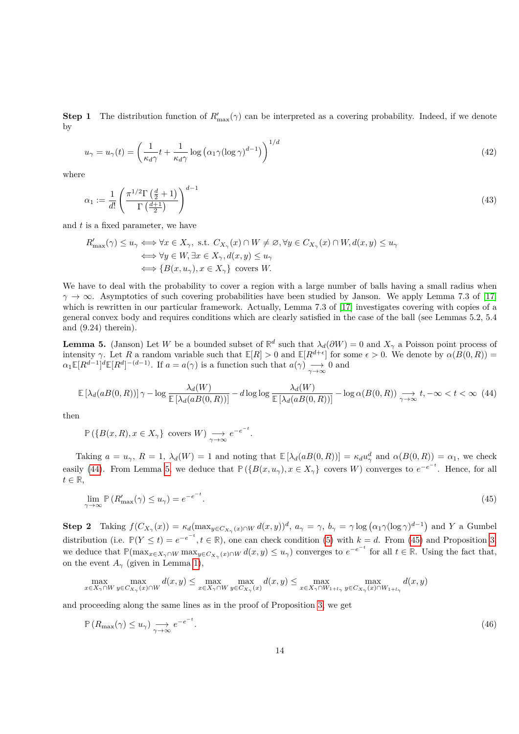<span id="page-13-5"></span>**Step 1** The distribution function of  $R'_{\text{max}}(\gamma)$  can be interpreted as a covering probability. Indeed, if we denote by

$$
u_{\gamma} = u_{\gamma}(t) = \left(\frac{1}{\kappa_d \gamma} t + \frac{1}{\kappa_d \gamma} \log \left(\alpha_1 \gamma (\log \gamma)^{d-1}\right)\right)^{1/d} \tag{42}
$$

where

<span id="page-13-0"></span>
$$
\alpha_1 := \frac{1}{d!} \left( \frac{\pi^{1/2} \Gamma\left(\frac{d}{2} + 1\right)}{\Gamma\left(\frac{d+1}{2}\right)} \right)^{d-1} \tag{43}
$$

and *t* is a fixed parameter, we have

$$
\begin{aligned} R'_{\max}(\gamma) & \leq u_{\gamma} \Longleftrightarrow \forall x \in X_{\gamma}, \text{ s.t. } C_{X_{\gamma}}(x) \cap W \neq \varnothing, \forall y \in C_{X_{\gamma}}(x) \cap W, d(x, y) \leq u_{\gamma} \\ & \Longleftrightarrow \forall y \in W, \exists x \in X_{\gamma}, d(x, y) \leq u_{\gamma} \\ & \Longleftrightarrow \{B(x, u_{\gamma}), x \in X_{\gamma}\} \text{ covers } W. \end{aligned}
$$

We have to deal with the probability to cover a region with a large number of balls having a small radius when  $\gamma \rightarrow \infty$ . Asymptotics of such covering probabilities have been studied by Janson. We apply Lemma 7.3 of [\[17\]](#page-20-15) which is rewritten in our particular framework. Actually, Lemma 7.3 of [\[17\]](#page-20-15) investigates covering with copies of a general convex body and requires conditions which are clearly satisfied in the case of the ball (see Lemmas 5.2, 5.4 and (9.24) therein).

<span id="page-13-2"></span>**Lemma 5.** (Janson) Let *W* be a bounded subset of  $\mathbb{R}^d$  such that  $\lambda_d(\partial W) = 0$  and  $X_\gamma$  a Poisson point process of intensity *γ*. Let *R* a random variable such that  $\mathbb{E}[R] > 0$  and  $\mathbb{E}[R^{d+\epsilon}]$  for some  $\epsilon > 0$ . We denote by  $\alpha(B(0,R)) =$  $\alpha_1 \mathbb{E}[R^{d-1}]^d \mathbb{E}[R^d]^{-(d-1)}$ . If  $a = a(\gamma)$  is a function such that  $a(\gamma) \longrightarrow 0$  and

$$
\mathbb{E}\left[\lambda_d(aB(0,R))\right]\gamma - \log\frac{\lambda_d(W)}{\mathbb{E}\left[\lambda_d(aB(0,R))\right]} - d\log\log\frac{\lambda_d(W)}{\mathbb{E}\left[\lambda_d(aB(0,R))\right]} - \log\alpha(B(0,R)) \underset{\gamma \to \infty}{\longrightarrow} t, -\infty < t < \infty \tag{44}
$$

then

<span id="page-13-1"></span>
$$
\mathbb{P}\left(\{B(x,R), x \in X_{\gamma}\}\right) \text{ covers } W\right) \underset{\gamma \to \infty}{\longrightarrow} e^{-e^{-t}}.
$$

Taking  $a = u_{\gamma}$ ,  $R = 1$ ,  $\lambda_d(W) = 1$  and noting that  $\mathbb{E}[\lambda_d(aB(0,R))] = \kappa_d u_{\gamma}^d$  and  $\alpha(B(0,R)) = \alpha_1$ , we check easily [\(44\)](#page-13-1). From Lemma [5,](#page-13-2) we deduce that  $\mathbb{P}(\{B(x, u_{\gamma}), x \in X_{\gamma}\})$  covers W) converges to  $e^{-e^{-t}}$ . Hence, for all *t* ∈ **R**,

<span id="page-13-3"></span>
$$
\lim_{\gamma \to \infty} \mathbb{P}\left(R'_{\text{max}}(\gamma) \le u_{\gamma}\right) = e^{-e^{-t}}.\tag{45}
$$

**Step 2** Taking  $f(C_{X_\gamma}(x)) = \kappa_d (\max_{y \in C_{X_\gamma}(x) \cap W} d(x, y))^d$ ,  $a_\gamma = \gamma$ ,  $b_\gamma = \gamma \log (\alpha_1 \gamma (\log \gamma)^{d-1})$  and Y a Gumbel distribution (i.e.  $\mathbb{P}(Y \leq t) = e^{-e^{-t}}, t \in \mathbb{R}$ ), one can check condition [\(5\)](#page-4-4) with  $k = d$ . From [\(45\)](#page-13-3) and Proposition [3,](#page-4-0) we deduce that  $\mathbb{P}(\max_{x \in X_{\gamma} \cap W} \max_{y \in C_{X_{\gamma}}(x) \cap W} d(x, y) \leq u_{\gamma})$  converges to  $e^{-e^{-t}}$  for all  $t \in \mathbb{R}$ . Using the fact that, on the event  $A_\gamma$  (given in Lemma [1\)](#page-4-2),

$$
\max_{x \in X_{\gamma} \cap W} \max_{y \in C_{X_{\gamma}}(x) \cap W} d(x, y) \le \max_{x \in X_{\gamma} \cap W} \max_{y \in C_{X_{\gamma}}(x)} d(x, y) \le \max_{x \in X_{\gamma} \cap W_{1 + L_{\gamma}}} \max_{y \in C_{X_{\gamma}}(x) \cap W_{1 + L_{\gamma}}} d(x, y)
$$

and proceeding along the same lines as in the proof of Proposition [3,](#page-4-0) we get

<span id="page-13-4"></span>
$$
\mathbb{P}\left(R_{\max}(\gamma) \le u_{\gamma}\right) \underset{\gamma \to \infty}{\longrightarrow} e^{-e^{-t}}.\tag{46}
$$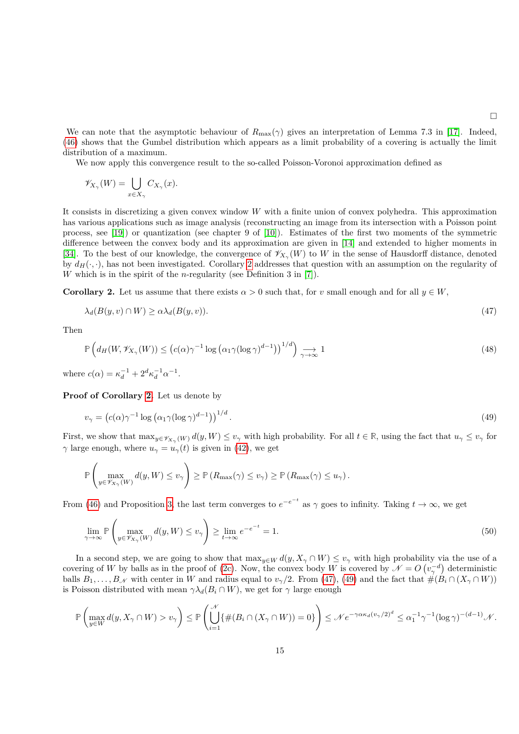<span id="page-14-3"></span><span id="page-14-1"></span> $\Box$ 

We can note that the asymptotic behaviour of  $R_{\text{max}}(\gamma)$  gives an interpretation of Lemma 7.3 in [\[17\]](#page-20-15). Indeed, [\(46\)](#page-13-4) shows that the Gumbel distribution which appears as a limit probability of a covering is actually the limit distribution of a maximum.

We now apply this convergence result to the so-called Poisson-Voronoi approximation defined as

$$
\mathscr{V}_{X_{\gamma}}(W) = \bigcup_{x \in X_{\gamma}} C_{X_{\gamma}}(x).
$$

It consists in discretizing a given convex window *W* with a finite union of convex polyhedra. This approximation has various applications such as image analysis (reconstructing an image from its intersection with a Poisson point process, see [\[19\]](#page-20-16)) or quantization (see chapter 9 of [\[10\]](#page-20-17)). Estimates of the first two moments of the symmetric difference between the convex body and its approximation are given in [\[14\]](#page-20-7) and extended to higher moments in [\[34\]](#page-21-17). To the best of our knowledge, the convergence of  $\mathscr{V}_{X_{\gamma}}(W)$  to W in the sense of Hausdorff distance, denoted by  $d_H(\cdot, \cdot)$ , has not been investigated. Corollary [2](#page-14-0) addresses that question with an assumption on the regularity of *W* which is in the spirit of the *n*-regularity (see Definition 3 in [\[7\]](#page-20-18)).

<span id="page-14-0"></span>**Corollary 2.** Let us assume that there exists  $\alpha > 0$  such that, for *v* small enough and for all  $y \in W$ ,

$$
\lambda_d(B(y, v) \cap W) \ge \alpha \lambda_d(B(y, v)). \tag{47}
$$

Then

$$
\mathbb{P}\left(d_H(W, \mathscr{V}_{X_\gamma}(W)) \le (c(\alpha)\gamma^{-1}\log\left(\alpha_1\gamma(\log\gamma)^{d-1}\right))^{1/d}\right) \underset{\gamma \to \infty}{\longrightarrow} 1\tag{48}
$$

where  $c(\alpha) = \kappa_d^{-1} + 2^d \kappa_d^{-1} \alpha^{-1}$ .

**Proof of Corollary [2.](#page-14-0)** Let us denote by

<span id="page-14-2"></span>
$$
v_{\gamma} = \left( c(\alpha) \gamma^{-1} \log \left( \alpha_1 \gamma (\log \gamma)^{d-1} \right) \right)^{1/d} . \tag{49}
$$

First, we show that  $\max_{y \in \mathscr{V}_{X_\gamma}(W)} d(y, W) \leq v_\gamma$  with high probability. For all  $t \in \mathbb{R}$ , using the fact that  $u_\gamma \leq v_\gamma$  for *γ* large enough, where  $u_\gamma = u_\gamma(t)$  is given in [\(42\)](#page-13-5), we get

$$
\mathbb{P}\left(\max_{y\in\mathscr{V}_{X_{\gamma}}(W)}d(y,W)\leq v_{\gamma}\right)\geq\mathbb{P}\left(R_{\max}(\gamma)\leq v_{\gamma}\right)\geq\mathbb{P}\left(R_{\max}(\gamma)\leq u_{\gamma}\right).
$$

From [\(46\)](#page-13-4) and Proposition [3,](#page-4-0) the last term converges to  $e^{-e^{-t}}$  as  $\gamma$  goes to infinity. Taking  $t \to \infty$ , we get

$$
\lim_{\gamma \to \infty} \mathbb{P}\left(\max_{y \in \mathscr{V}_{X_{\gamma}}(W)} d(y, W) \le v_{\gamma}\right) \ge \lim_{t \to \infty} e^{-e^{-t}} = 1. \tag{50}
$$

In a second step, we are going to show that  $\max_{y \in W} d(y, X_{\gamma} \cap W) \leq v_{\gamma}$  with high probability via the use of a covering of *W* by balls as in the proof of [\(2c\)](#page-2-5). Now, the convex body *W* is covered by  $\mathcal{N} = O(v_\gamma^{-d})$  deterministic balls  $B_1, \ldots, B_N$  with center in W and radius equal to  $v_\gamma/2$ . From [\(47\)](#page-14-1), [\(49\)](#page-14-2) and the fact that  $\#(B_i \cap (X_\gamma \cap W))$ is Poisson distributed with mean  $\gamma \lambda_d(B_i \cap W)$ , we get for  $\gamma$  large enough

$$
\mathbb{P}\left(\max_{y\in W} d(y, X_{\gamma} \cap W) > v_{\gamma}\right) \leq \mathbb{P}\left(\bigcup_{i=1}^{\mathcal{N}} \{\#(B_i \cap (X_{\gamma} \cap W)) = 0\}\right) \leq \mathcal{N} e^{-\gamma \alpha \kappa_d (v_{\gamma}/2)^d} \leq \alpha_1^{-1} \gamma^{-1} (\log \gamma)^{-(d-1)} \mathcal{N}.
$$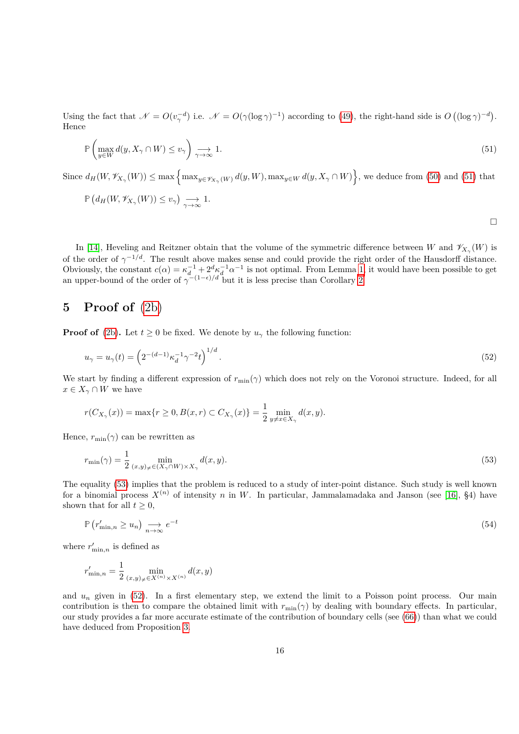Using the fact that  $\mathcal{N} = O(v_\gamma^{-d})$  i.e.  $\mathcal{N} = O(\gamma(\log \gamma)^{-1})$  according to [\(49\)](#page-14-2), the right-hand side is  $O((\log \gamma)^{-d})$ . Hence

<span id="page-15-0"></span>
$$
\mathbb{P}\left(\max_{y\in W} d(y, X_{\gamma} \cap W) \le v_{\gamma}\right) \underset{\gamma \to \infty}{\longrightarrow} 1. \tag{51}
$$

Since  $d_H(W, \mathscr{V}_{X_\gamma}(W)) \le \max \left\{ \max_{y \in \mathscr{V}_{X_\gamma}(W)} d(y, W), \max_{y \in W} d(y, X_\gamma \cap W) \right\}$ , we deduce from [\(50\)](#page-14-3) and [\(51\)](#page-15-0) that

$$
\mathbb{P}\left(d_H(W,\mathscr{V}_{X_\gamma}(W))\leq v_\gamma\right)\underset{\gamma\to\infty}{\longrightarrow} 1.
$$

In [\[14\]](#page-20-7), Heveling and Reitzner obtain that the volume of the symmetric difference between *W* and  $\mathscr{V}_{X_{\gamma}}(W)$  is of the order of  $\gamma^{-1/d}$ . The result above makes sense and could provide the right order of the Hausdorff distance. Obviously, the constant  $c(\alpha) = \kappa_d^{-1} + 2^d \kappa_d^{-1} \alpha^{-1}$  is not optimal. From Lemma [1,](#page-4-2) it would have been possible to get an upper-bound of the order of  $\gamma^{-(1-\epsilon)/d}$  but it is less precise than Corollary [2.](#page-14-0)

# **5 Proof of** [\(2b\)](#page-2-4)

**Proof of** [\(2b\)](#page-2-4). Let  $t > 0$  be fixed. We denote by  $u<sub>γ</sub>$  the following function:

<span id="page-15-2"></span>
$$
u_{\gamma} = u_{\gamma}(t) = \left(2^{-(d-1)}\kappa_d^{-1}\gamma^{-2}t\right)^{1/d}.\tag{52}
$$

We start by finding a different expression of  $r_{\min}(\gamma)$  which does not rely on the Voronoi structure. Indeed, for all  $x \in X_\gamma \cap W$  we have

<span id="page-15-1"></span>
$$
r(C_{X_{\gamma}}(x)) = \max\{r \ge 0, B(x,r) \subset C_{X_{\gamma}}(x)\} = \frac{1}{2} \min_{y \ne x \in X_{\gamma}} d(x,y).
$$

Hence,  $r_{\min}(\gamma)$  can be rewritten as

$$
r_{\min}(\gamma) = \frac{1}{2} \min_{(x,y)_{\neq} \in (X_{\gamma} \cap W) \times X_{\gamma}} d(x,y). \tag{53}
$$

The equality [\(53\)](#page-15-1) implies that the problem is reduced to a study of inter-point distance. Such study is well known for a binomial process  $X^{(n)}$  of intensity *n* in W. In particular, Jammalamadaka and Janson (see [\[16\]](#page-20-9), §4) have shown that for all  $t \geq 0$ ,

<span id="page-15-3"></span>
$$
\mathbb{P}\left(r'_{\min,n} \ge u_n\right) \underset{n \to \infty}{\longrightarrow} e^{-t} \tag{54}
$$

where  $r'_{\min,n}$  is defined as

$$
r'_{\min,n} = \frac{1}{2} \min_{(x,y)_{\neq} \in X^{(n)} \times X^{(n)}} d(x,y)
$$

and  $u_n$  given in [\(52\)](#page-15-2). In a first elementary step, we extend the limit to a Poisson point process. Our main contribution is then to compare the obtained limit with  $r_{\min}(\gamma)$  by dealing with boundary effects. In particular, our study provides a far more accurate estimate of the contribution of boundary cells (see [\(66\)](#page-18-0)) than what we could have deduced from Proposition [3.](#page-4-0)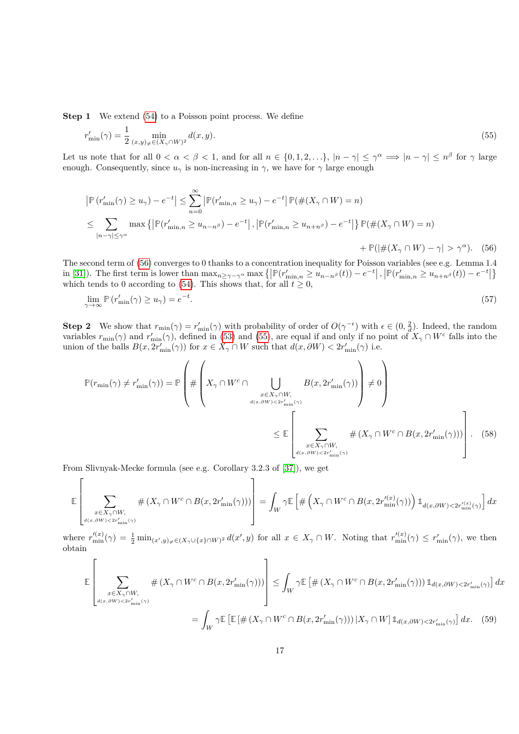**Step 1** We extend [\(54\)](#page-15-3) to a Poisson point process. We define

<span id="page-16-1"></span>
$$
r'_{\min}(\gamma) = \frac{1}{2} \min_{(x,y) \neq \in (X_{\gamma} \cap W)^2} d(x,y).
$$
 (55)

Let us note that for all  $0 < \alpha < \beta < 1$ , and for all  $n \in \{0, 1, 2, \ldots\}$ ,  $|n - \gamma| \leq \gamma^{\alpha} \implies |n - \gamma| \leq n^{\beta}$  for  $\gamma$  large enough. Consequently, since  $u_\gamma$  is non-increasing in  $\gamma$ , we have for  $\gamma$  large enough

<span id="page-16-0"></span>
$$
|\mathbb{P}(r'_{\min}(\gamma) \ge u_{\gamma}) - e^{-t}| \le \sum_{n=0}^{\infty} |\mathbb{P}(r'_{\min,n} \ge u_{\gamma}) - e^{-t}| \mathbb{P}(\#(X_{\gamma} \cap W) = n)
$$
  

$$
\le \sum_{|n-\gamma| \le \gamma^{\alpha}} \max \{ |\mathbb{P}(r'_{\min,n} \ge u_{n-n^{\beta}}) - e^{-t}|, |\mathbb{P}(r'_{\min,n} \ge u_{n+n^{\beta}}) - e^{-t}| \} \mathbb{P}(\#(X_{\gamma} \cap W) = n)
$$
  

$$
+ \mathbb{P}(|\#(X_{\gamma} \cap W) - \gamma| > \gamma^{\alpha}).
$$
 (56)

The second term of [\(56\)](#page-16-0) converges to 0 thanks to a concentration inequality for Poisson variables (see e.g. Lemma 1.4 in [\[31\]](#page-21-13)). The first term is lower than  $\max_{n \ge \gamma - \gamma^{\alpha}} \max \{ |\mathbb{P}(r'_{\min,n} \ge u_{n-n^{\beta}}(t)) - e^{-t}|, |\mathbb{P}(r'_{\min,n} \ge u_{n+n^{\beta}}(t)) - e^{-t}| \}$ which tends to 0 according to [\(54\)](#page-15-3). This shows that, for all  $t \geq 0$ ,

<span id="page-16-4"></span>
$$
\lim_{\gamma \to \infty} \mathbb{P}\left(r'_{\min}(\gamma) \ge u_{\gamma}\right) = e^{-t}.\tag{57}
$$

**Step 2** We show that  $r_{\min}(\gamma) = r'_{\min}(\gamma)$  with probability of order of  $O(\gamma^{-\epsilon})$  with  $\epsilon \in (0, \frac{2}{d})$ . Indeed, the random variables  $r_{\min}(\gamma)$  and  $r'_{\min}(\gamma)$ , defined in [\(53\)](#page-15-1) and [\(55\)](#page-16-1), are equal if and only if no point of  $X_{\gamma} \cap W^{c}$  falls into the union of the balls  $B(x, 2r'_{\min}(\gamma))$  for  $x \in X_{\gamma} \cap W$  such that  $d(x, \partial W) < 2r'_{\min}(\gamma)$  i.e.

<span id="page-16-2"></span>
$$
\mathbb{P}(r_{\min}(\gamma) \neq r'_{\min}(\gamma)) = \mathbb{P}\left(\#\left(X_{\gamma} \cap W^{c} \cap \bigcup_{\substack{x \in X_{\gamma} \cap W, \\ d(x,\partial W) < 2r'_{\min}(\gamma) \\ \vdots \\ x \in X_{\gamma} \cap W, \\ d(x,\partial W) < 2r'_{\min}(\gamma)}} B(x, 2r'_{\min}(\gamma))\right) \neq 0\right)
$$
\n
$$
\leq \mathbb{E}\left[\sum_{\substack{x \in X_{\gamma} \cap W, \\ d(x,\partial W) < 2r'_{\min}(\gamma) \\ \vdots \\ d(x,\partial W) < 2r'_{\min}(\gamma)}} \#(X_{\gamma} \cap W^{c} \cap B(x, 2r'_{\min}(\gamma)))\right]. \tag{58}
$$

From Slivnyak-Mecke formula (see e.g. Corollary 3.2.3 of [\[37\]](#page-21-4)), we get

$$
\mathbb{E}\left[\sum_{\substack{x\in X_\gamma\cap W,\\ d(x,\partial W)<2r'_{\min}(\gamma)}}\# \left(X_\gamma\cap W^c\cap B(x,2r'_{\min}(\gamma))\right)\right]=\int_W\gamma\mathbb{E}\left[\#\left(X_\gamma\cap W^c\cap B(x,2r_{\min}'^{(x)}(\gamma))\right)\mathbbm{1}_{d(x,\partial W)<2r_{\min}'(x)}\right]dx
$$

where  $r'^{(x)}_{\min}(\gamma) = \frac{1}{2} \min_{(x',y) \neq \in (X_{\gamma} \cup \{x\} \cap W)^2} d(x',y)$  for all  $x \in X_{\gamma} \cap W$ . Noting that  $r'^{(x)}_{\min}(\gamma) \leq r'_{\min}(\gamma)$ , we then obtain

<span id="page-16-3"></span>
$$
\mathbb{E}\left[\sum_{\substack{x\in X_{\gamma}\cap W,\\d(x,\partial W)<2r'_{\min}(\gamma)}}\#(X_{\gamma}\cap W^c\cap B(x,2r'_{\min}(\gamma)))\right] \leq \int_W \gamma \mathbb{E}\left[\#(X_{\gamma}\cap W^c\cap B(x,2r'_{\min}(\gamma)))\mathbb{1}_{d(x,\partial W)<2r'_{\min}(\gamma)}\right]dx
$$
\n
$$
=\int_W \gamma \mathbb{E}\left[\mathbb{E}\left[\#(X_{\gamma}\cap W^c\cap B(x,2r'_{\min}(\gamma)))\big|X_{\gamma}\cap W\right]\mathbb{1}_{d(x,\partial W)<2r'_{\min}(\gamma)}\right]dx. \tag{59}
$$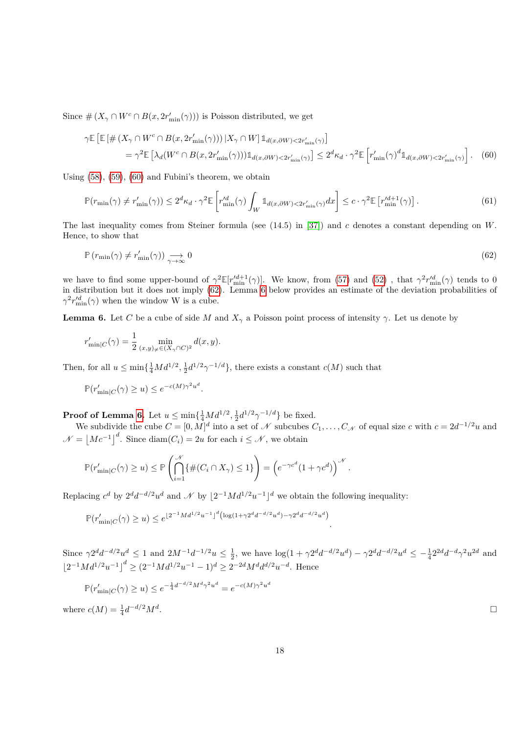Since  $\#(X_{\gamma} \cap W^c \cap B(x, 2r'_{\min}(\gamma)))$  is Poisson distributed, we get

<span id="page-17-0"></span>
$$
\gamma \mathbb{E} \left[ \mathbb{E} \left[ \# \left( X_{\gamma} \cap W^{c} \cap B(x, 2r'_{\min}(\gamma)) \right) | X_{\gamma} \cap W \right] \mathbb{1}_{d(x, \partial W) < 2r'_{\min}(\gamma)} \right]
$$
\n
$$
= \gamma^{2} \mathbb{E} \left[ \lambda_{d} (W^{c} \cap B(x, 2r'_{\min}(\gamma))) \mathbb{1}_{d(x, \partial W) < 2r'_{\min}(\gamma)} \right] \leq 2^{d} \kappa_{d} \cdot \gamma^{2} \mathbb{E} \left[ r'_{\min}(\gamma)^{d} \mathbb{1}_{d(x, \partial W) < 2r'_{\min}(\gamma)} \right]. \tag{60}
$$

Using [\(58\)](#page-16-2), [\(59\)](#page-16-3), [\(60\)](#page-17-0) and Fubini's theorem, we obtain

<span id="page-17-3"></span>
$$
\mathbb{P}(r_{\min}(\gamma) \neq r'_{\min}(\gamma)) \leq 2^d \kappa_d \cdot \gamma^2 \mathbb{E}\left[r'^{d}_{\min}(\gamma) \int_W \mathbb{1}_{d(x,\partial W) < 2r'_{\min}(\gamma)} dx\right] \leq c \cdot \gamma^2 \mathbb{E}\left[r'^{d+1}_{\min}(\gamma)\right].\tag{61}
$$

The last inequality comes from Steiner formula (see (14.5) in [\[37\]](#page-21-4)) and *c* denotes a constant depending on *W*. Hence, to show that

<span id="page-17-1"></span>
$$
\mathbb{P}\left(r_{\min}(\gamma) \neq r'_{\min}(\gamma)\right) \underset{\gamma \to \infty}{\longrightarrow} 0\tag{62}
$$

we have to find some upper-bound of  $\gamma^2 \mathbb{E}[r_{\min}^{d+1}(\gamma)]$ . We know, from [\(57\)](#page-16-4) and [\(52\)](#page-15-2), that  $\gamma^2 r_{\min}^{d}(\gamma)$  tends to 0 in distribution but it does not imply [\(62\)](#page-17-1). Lemma [6](#page-17-2) below provides an estimate of the deviation probabilities of  $\gamma^2 r'^{d}_{\min}(\gamma)$  when the window W is a cube.

<span id="page-17-2"></span>**Lemma 6.** Let *C* be a cube of side *M* and  $X_\gamma$  a Poisson point process of intensity  $\gamma$ . Let us denote by

$$
r'_{\min|C}(\gamma) = \frac{1}{2} \min_{(x,y)_{\neq} \in (X_{\gamma} \cap C)^2} d(x,y).
$$

Then, for all  $u \le \min\{\frac{1}{4}Md^{1/2}, \frac{1}{2}d^{1/2}\gamma^{-1/d}\}\$ , there exists a constant  $c(M)$  such that

$$
\mathbb{P}(r'_{\min|C}(\gamma) \ge u) \le e^{-c(M)\gamma^2 u^d}.
$$

**Proof of Lemma [6.](#page-17-2)** Let  $u \le \min\{\frac{1}{4}Md^{1/2}, \frac{1}{2}d^{1/2}\gamma^{-1/d}\}$  be fixed.

We subdivide the cube  $C = [0, M]^d$  into a set of N subcubes  $C_1, \ldots, C_N$  of equal size c with  $c = 2d^{-1/2}u$  and  $\mathcal{N} = |Mc^{-1}|^d$ . Since diam $(C_i) = 2u$  for each  $i \leq \mathcal{N}$ , we obtain

$$
\mathbb{P}(r'_{\min|C}(\gamma) \ge u) \le \mathbb{P}\left(\bigcap_{i=1}^{\mathcal{N}} \{\#(C_i \cap X_{\gamma}) \le 1\}\right) = \left(e^{-\gamma c^d} (1 + \gamma c^d)\right)^{\mathcal{N}}.
$$

Replacing  $c^d$  by  $2^d d^{-d/2} u^d$  and  $\mathcal N$  by  $\lfloor 2^{-1} M d^{1/2} u^{-1} \rfloor^d$  we obtain the following inequality:

 $\mathbb{P}(r'_{\min|C}(\gamma) \geq u) \leq e^{\lfloor 2^{-1}Md^{1/2}u^{-1}\rfloor^d \left(\log(1+\gamma 2^dd^{-d/2}u^d) - \gamma 2^dd^{-d/2}u^d\right)}$ *.*

Since  $\gamma 2^d d^{-d/2} u^d \leq 1$  and  $2M^{-1} d^{-1/2} u \leq \frac{1}{2}$ , we have  $\log(1 + \gamma 2^d d^{-d/2} u^d) - \gamma 2^d d^{-d/2} u^d \leq -\frac{1}{4} 2^{2d} d^{-d} \gamma^2 u^{2d}$  and  $\left[2^{-1}Md^{1/2}u^{-1}\right]^d \geq (2^{-1}Md^{1/2}u^{-1} - 1)^d \geq 2^{-2d}M^d d^{d/2}u^{-d}$ . Hence

$$
\mathbb{P}(r'_{\min|C}(\gamma) \ge u) \le e^{-\frac{1}{4}d^{-d/2}M^d\gamma^2u^d} = e^{-c(M)\gamma^2u^d}
$$

where  $c(M) = \frac{1}{4}d^{-d/2}M^d$ 

.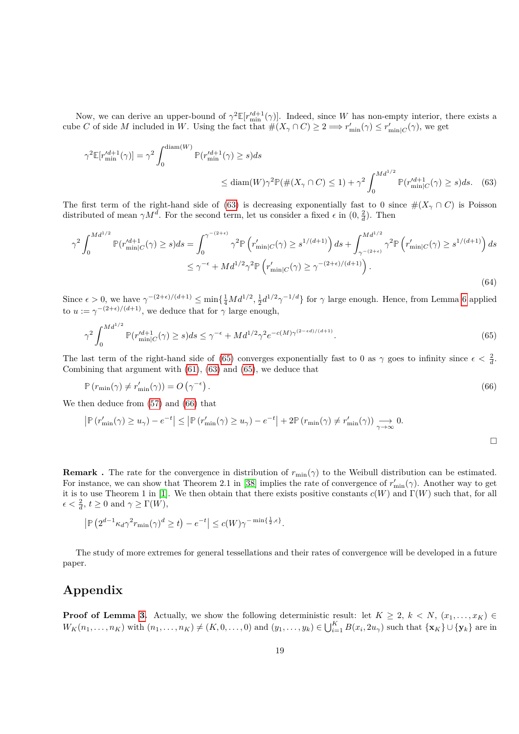Now, we can derive an upper-bound of  $\gamma^2 \mathbb{E}[r'^{d+1}_{\min}(\gamma)]$ . Indeed, since *W* has non-empty interior, there exists a cube *C* of side *M* included in *W*. Using the fact that  $\#(X_{\gamma} \cap C) \geq 2 \Longrightarrow r'_{\min}(\gamma) \leq r'_{\min|C}(\gamma)$ , we get

$$
\gamma^2 \mathbb{E}[r_{\min}^{d+1}(\gamma)] = \gamma^2 \int_0^{\text{diam}(W)} \mathbb{P}(r_{\min}^{d+1}(\gamma) \ge s) ds
$$
  

$$
\le \text{diam}(W) \gamma^2 \mathbb{P}(\#(X_\gamma \cap C) \le 1) + \gamma^2 \int_0^{Md^{1/2}} \mathbb{P}(r_{\min|C}^{d+1}(\gamma) \ge s) ds. \quad (63)
$$

The first term of the right-hand side of [\(63\)](#page-18-1) is decreasing exponentially fast to 0 since  $\#(X_\gamma \cap C)$  is Poisson distributed of mean  $\gamma M^d$ . For the second term, let us consider a fixed  $\epsilon$  in  $(0, \frac{2}{d})$ . Then

$$
\gamma^{2} \int_{0}^{Md^{1/2}} \mathbb{P}(r'^{d+1}_{\min|C}(\gamma) \ge s) ds = \int_{0}^{\gamma^{-(2+\epsilon)}} \gamma^{2} \mathbb{P}\left(r'_{\min|C}(\gamma) \ge s^{1/(d+1)}\right) ds + \int_{\gamma^{-(2+\epsilon)}}^{Md^{1/2}} \gamma^{2} \mathbb{P}\left(r'_{\min|C}(\gamma) \ge s^{1/(d+1)}\right) ds
$$
  

$$
\le \gamma^{-\epsilon} + Md^{1/2} \gamma^{2} \mathbb{P}\left(r'_{\min|C}(\gamma) \ge \gamma^{-(2+\epsilon)/(d+1)}\right).
$$
 (64)

Since  $\epsilon > 0$ , we have  $\gamma^{-(2+\epsilon)/(d+1)} \le \min\{\frac{1}{4}Md^{1/2}, \frac{1}{2}d^{1/2}\gamma^{-1/d}\}\$  for  $\gamma$  large enough. Hence, from Lemma [6](#page-17-2) applied to  $u := \gamma^{-(2+\epsilon)/(d+1)}$ , we deduce that for  $\gamma$  large enough,

<span id="page-18-2"></span>
$$
\gamma^2 \int_0^{Md^{1/2}} \mathbb{P}(r_{\min|C}^{d+1}(\gamma) \ge s) ds \le \gamma^{-\epsilon} + Md^{1/2} \gamma^2 e^{-c(M)\gamma^{(2-\epsilon d)/(d+1)}}. \tag{65}
$$

The last term of the right-hand side of [\(65\)](#page-18-2) converges exponentially fast to 0 as  $\gamma$  goes to infinity since  $\epsilon < \frac{2}{d}$ . Combining that argument with [\(61\)](#page-17-3), [\(63\)](#page-18-1) and [\(65\)](#page-18-2), we deduce that

$$
\mathbb{P}\left(r_{\min}(\gamma) \neq r'_{\min}(\gamma)\right) = O\left(\gamma^{-\epsilon}\right). \tag{66}
$$

We then deduce from [\(57\)](#page-16-4) and [\(66\)](#page-18-0) that

$$
\left| \mathbb{P} \left( r'_{\min}(\gamma) \ge u_{\gamma} \right) - e^{-t} \right| \le \left| \mathbb{P} \left( r'_{\min}(\gamma) \ge u_{\gamma} \right) - e^{-t} \right| + 2 \mathbb{P} \left( r_{\min}(\gamma) \ne r'_{\min}(\gamma) \right) \underset{\gamma \to \infty}{\longrightarrow} 0.
$$

<span id="page-18-1"></span><span id="page-18-0"></span> $\Box$ 

**Remark**. The rate for the convergence in distribution of  $r_{\text{min}}(\gamma)$  to the Weibull distribution can be estimated. For instance, we can show that Theorem 2.1 in [\[38\]](#page-21-18) implies the rate of convergence of  $r'_{\text{min}}(\gamma)$ . Another way to get it is to use Theorem 1 in [\[1\]](#page-20-12). We then obtain that there exists positive constants *c*(*W*) and Γ(*W*) such that, for all  $\epsilon < \frac{2}{d}, t \ge 0$  and  $\gamma \ge \Gamma(W)$ ,

$$
\left| \mathbb{P} \left( 2^{d-1} \kappa_d \gamma^2 r_{\min}(\gamma)^d \ge t \right) - e^{-t} \right| \le c(W) \gamma^{-\min\{\frac{1}{2}, \epsilon\}}.
$$

The study of more extremes for general tessellations and their rates of convergence will be developed in a future paper.

# **Appendix**

**Proof of Lemma [3.](#page-9-0)** Actually, we show the following deterministic result: let  $K \geq 2$ ,  $k \lt N$ ,  $(x_1, \ldots, x_K) \in$  $W_K(n_1,\ldots,n_K)$  with  $(n_1,\ldots,n_K) \neq (K,0,\ldots,0)$  and  $(y_1,\ldots,y_k) \in \bigcup_{i=1}^K B(x_i,2u_\gamma)$  such that  $\{x_K\} \cup \{y_k\}$  are in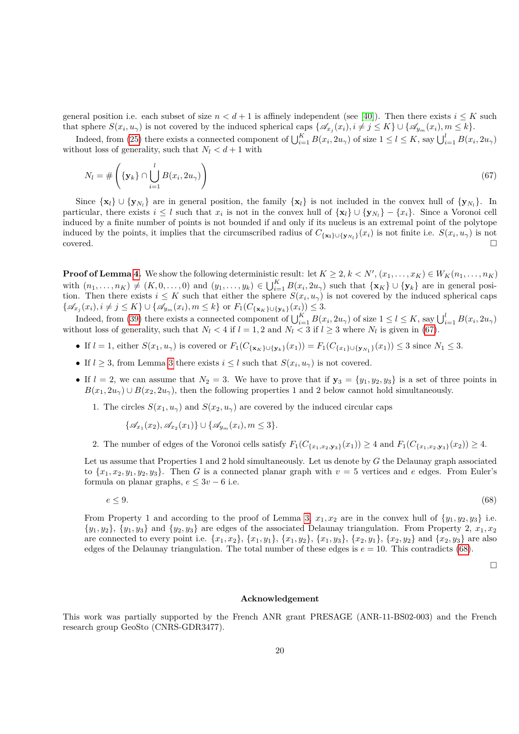general position i.e. each subset of size  $n < d+1$  is affinely independent (see [\[40\]](#page-22-1)). Then there exists  $i \leq K$  such that sphere  $S(x_i, u_\gamma)$  is not covered by the induced spherical caps  $\{\mathscr{A}_{x_j}(x_i), i \neq j \leq K\} \cup \{\mathscr{A}_{y_m}(x_i), m \leq k\}.$ 

Indeed, from [\(25\)](#page-9-2) there exists a connected component of  $\bigcup_{i=1}^{K} B(x_i, 2u_\gamma)$  of size  $1 \leq l \leq K$ , say  $\bigcup_{i=1}^{l} B(x_i, 2u_\gamma)$ without loss of generality, such that  $N_l < d+1$  with

<span id="page-19-0"></span>
$$
N_l = \# \left( \{ \mathbf{y}_k \} \cap \bigcup_{i=1}^l B(x_i, 2u_\gamma) \right) \tag{67}
$$

Since  $\{x_l\} \cup \{y_{N_l}\}\$  are in general position, the family  $\{x_l\}$  is not included in the convex hull of  $\{y_{N_l}\}\$ . In particular, there exists  $i \leq l$  such that  $x_i$  is not in the convex hull of  $\{x_l\} \cup \{y_{N_l}\} - \{x_i\}$ . Since a Voronoi cell induced by a finite number of points is not bounded if and only if its nucleus is an extremal point of the polytope induced by the points, it implies that the circumscribed radius of  $C_{\{\mathbf{x}_1\}\cup\{\mathbf{y}_{N_l}\}}(x_i)$  is not finite i.e.  $S(x_i, u_\gamma)$  is not  $\Box$ covered.  $\Box$ 

**Proof of Lemma [4.](#page-12-1)** We show the following deterministic result: let  $K \geq 2, k < N', (x_1, \ldots, x_K) \in W_K(n_1, \ldots, n_K)$ with  $(n_1,\ldots,n_K) \neq (K,0,\ldots,0)$  and  $(y_1,\ldots,y_k) \in \bigcup_{i=1}^K B(x_i,2u_\gamma)$  such that  $\{\mathbf{x}_K\} \cup \{\mathbf{y}_k\}$  are in general position. Then there exists  $i \leq K$  such that either the sphere  $S(x_i, u_\gamma)$  is not covered by the induced spherical caps  $\{\mathscr{A}_{x_j}(x_i), i \neq j \leq K\} \cup \{\mathscr{A}_{y_m}(x_i), m \leq k\} \text{ or } F_1(C_{\{\mathbf{x}_K\} \cup {\{\mathbf{y}_k\}}}(x_i)) \leq 3.$ 

Indeed, from [\(39\)](#page-12-3) there exists a connected component of  $\bigcup_{i=1}^{K} B(x_i, 2u_\gamma)$  of size  $1 \leq l \leq K$ , say  $\bigcup_{i=1}^{l} B(x_i, 2u_\gamma)$ without loss of generality, such that  $N_l < 4$  if  $l = 1, 2$  and  $N_l < 3$  if  $l \geq 3$  where  $N_l$  is given in [\(67\)](#page-19-0).

- If  $l = 1$ , either  $S(x_1, u_\gamma)$  is covered or  $F_1(C_{\{\mathbf{x}_K\}\cup \{\mathbf{y}_k\}}(x_1)) = F_1(C_{\{x_1\}\cup \{\mathbf{y}_{N_1}\}}(x_1)) \leq 3$  since  $N_1 \leq 3$ .
- If  $l \geq 3$  $l \geq 3$ , from Lemma 3 there exists  $i \leq l$  such that  $S(x_i, u_\gamma)$  is not covered.
- If  $l = 2$ , we can assume that  $N_2 = 3$ . We have to prove that if  $y_3 = \{y_1, y_2, y_3\}$  is a set of three points in  $B(x_1, 2u_\gamma) \cup B(x_2, 2u_\gamma)$ , then the following properties 1 and 2 below cannot hold simultaneously.

1. The circles  $S(x_1, u_\gamma)$  and  $S(x_2, u_\gamma)$  are covered by the induced circular caps

$$
\{\mathscr{A}_{x_1}(x_2), \mathscr{A}_{x_2}(x_1)\} \cup \{\mathscr{A}_{y_m}(x_i), m \leq 3\}.
$$

2. The number of edges of the Voronoi cells satisfy  $F_1(C_{\{x_1,x_2,y_3\}}(x_1)) \geq 4$  and  $F_1(C_{\{x_1,x_2,y_3\}}(x_2)) \geq 4$ .

Let us assume that Properties 1 and 2 hold simultaneously. Let us denote by *G* the Delaunay graph associated to  $\{x_1, x_2, y_1, y_2, y_3\}$ . Then *G* is a connected planar graph with  $v = 5$  vertices and *e* edges. From Euler's formula on planar graphs,  $e \leq 3v - 6$  i.e.

$$
e \le 9.\tag{68}
$$

From Property 1 and according to the proof of Lemma [3,](#page-9-0)  $x_1, x_2$  are in the convex hull of  $\{y_1, y_2, y_3\}$  i.e.  $\{y_1, y_2\}$ ,  $\{y_1, y_3\}$  and  $\{y_2, y_3\}$  are edges of the associated Delaunay triangulation. From Property 2,  $x_1, x_2$ are connected to every point i.e.  $\{x_1, x_2\}$ ,  $\{x_1, y_1\}$ ,  $\{x_1, y_2\}$ ,  $\{x_1, y_3\}$ ,  $\{x_2, y_1\}$ ,  $\{x_2, y_2\}$  and  $\{x_2, y_3\}$  are also edges of the Delaunay triangulation. The total number of these edges is  $e = 10$ . This contradicts [\(68\)](#page-19-1).

 $\Box$ 

#### <span id="page-19-1"></span>**Acknowledgement**

This work was partially supported by the French ANR grant PRESAGE (ANR-11-BS02-003) and the French research group GeoSto (CNRS-GDR3477).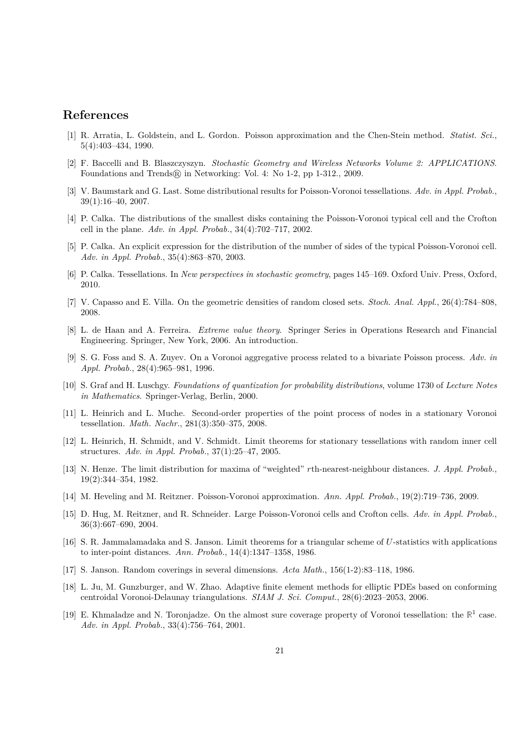#### **References**

- <span id="page-20-12"></span>[1] R. Arratia, L. Goldstein, and L. Gordon. Poisson approximation and the Chen-Stein method. *Statist. Sci.*, 5(4):403–434, 1990.
- <span id="page-20-0"></span>[2] F. Baccelli and B. Blaszczyszyn. *Stochastic Geometry and Wireless Networks Volume 2: APPLICATIONS*. Foundations and Trends® in Networking: Vol. 4: No 1-2, pp 1-312., 2009.
- <span id="page-20-4"></span>[3] V. Baumstark and G. Last. Some distributional results for Poisson-Voronoi tessellations. *Adv. in Appl. Probab.*, 39(1):16–40, 2007.
- <span id="page-20-10"></span>[4] P. Calka. The distributions of the smallest disks containing the Poisson-Voronoi typical cell and the Crofton cell in the plane. *Adv. in Appl. Probab.*, 34(4):702–717, 2002.
- <span id="page-20-3"></span>[5] P. Calka. An explicit expression for the distribution of the number of sides of the typical Poisson-Voronoi cell. *Adv. in Appl. Probab.*, 35(4):863–870, 2003.
- <span id="page-20-1"></span>[6] P. Calka. Tessellations. In *New perspectives in stochastic geometry*, pages 145–169. Oxford Univ. Press, Oxford, 2010.
- <span id="page-20-18"></span>[7] V. Capasso and E. Villa. On the geometric densities of random closed sets. *Stoch. Anal. Appl.*, 26(4):784–808, 2008.
- <span id="page-20-8"></span>[8] L. de Haan and A. Ferreira. *Extreme value theory*. Springer Series in Operations Research and Financial Engineering. Springer, New York, 2006. An introduction.
- <span id="page-20-14"></span>[9] S. G. Foss and S. A. Zuyev. On a Voronoi aggregative process related to a bivariate Poisson process. *Adv. in Appl. Probab.*, 28(4):965–981, 1996.
- <span id="page-20-17"></span>[10] S. Graf and H. Luschgy. *Foundations of quantization for probability distributions*, volume 1730 of *Lecture Notes in Mathematics*. Springer-Verlag, Berlin, 2000.
- <span id="page-20-2"></span>[11] L. Heinrich and L. Muche. Second-order properties of the point process of nodes in a stationary Voronoi tessellation. *Math. Nachr.*, 281(3):350–375, 2008.
- <span id="page-20-13"></span>[12] L. Heinrich, H. Schmidt, and V. Schmidt. Limit theorems for stationary tessellations with random inner cell structures. *Adv. in Appl. Probab.*, 37(1):25–47, 2005.
- <span id="page-20-11"></span>[13] N. Henze. The limit distribution for maxima of "weighted" *r*th-nearest-neighbour distances. *J. Appl. Probab.*, 19(2):344–354, 1982.
- <span id="page-20-7"></span>[14] M. Heveling and M. Reitzner. Poisson-Voronoi approximation. *Ann. Appl. Probab.*, 19(2):719–736, 2009.
- <span id="page-20-5"></span>[15] D. Hug, M. Reitzner, and R. Schneider. Large Poisson-Voronoi cells and Crofton cells. *Adv. in Appl. Probab.*, 36(3):667–690, 2004.
- <span id="page-20-9"></span>[16] S. R. Jammalamadaka and S. Janson. Limit theorems for a triangular scheme of *U*-statistics with applications to inter-point distances. *Ann. Probab.*, 14(4):1347–1358, 1986.
- <span id="page-20-15"></span>[17] S. Janson. Random coverings in several dimensions. *Acta Math.*, 156(1-2):83–118, 1986.
- <span id="page-20-6"></span>[18] L. Ju, M. Gunzburger, and W. Zhao. Adaptive finite element methods for elliptic PDEs based on conforming centroidal Voronoi-Delaunay triangulations. *SIAM J. Sci. Comput.*, 28(6):2023–2053, 2006.
- <span id="page-20-16"></span>[19] E. Khmaladze and N. Toronjadze. On the almost sure coverage property of Voronoi tessellation: the  $\mathbb{R}^1$  case. *Adv. in Appl. Probab.*, 33(4):756–764, 2001.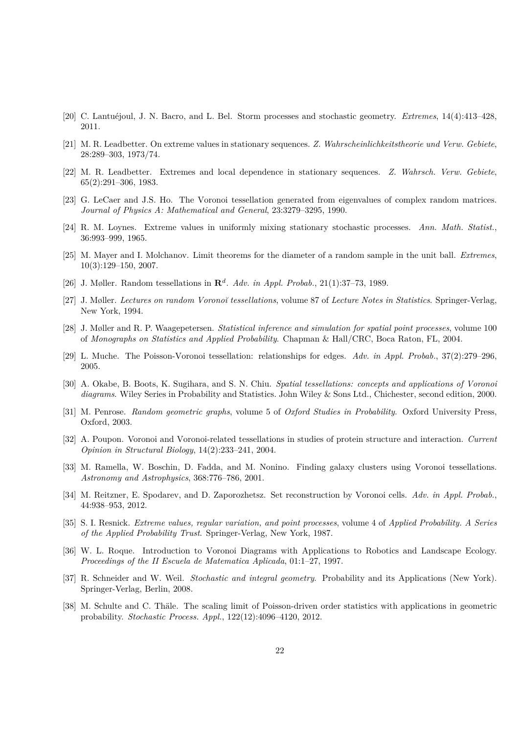- <span id="page-21-15"></span>[20] C. Lantuéjoul, J. N. Bacro, and L. Bel. Storm processes and stochastic geometry. *Extremes*, 14(4):413–428, 2011.
- <span id="page-21-11"></span>[21] M. R. Leadbetter. On extreme values in stationary sequences. *Z. Wahrscheinlichkeitstheorie und Verw. Gebiete*, 28:289–303, 1973/74.
- <span id="page-21-16"></span>[22] M. R. Leadbetter. Extremes and local dependence in stationary sequences. *Z. Wahrsch. Verw. Gebiete*, 65(2):291–306, 1983.
- <span id="page-21-9"></span>[23] G. LeCaer and J.S. Ho. The Voronoi tessellation generated from eigenvalues of complex random matrices. *Journal of Physics A: Mathematical and General*, 23:3279–3295, 1990.
- <span id="page-21-10"></span>[24] R. M. Loynes. Extreme values in uniformly mixing stationary stochastic processes. *Ann. Math. Statist.*, 36:993–999, 1965.
- <span id="page-21-14"></span>[25] M. Mayer and I. Molchanov. Limit theorems for the diameter of a random sample in the unit ball. *Extremes*, 10(3):129–150, 2007.
- <span id="page-21-6"></span>[26] J. Møller. Random tessellations in **R***<sup>d</sup>* . *Adv. in Appl. Probab.*, 21(1):37–73, 1989.
- <span id="page-21-5"></span>[27] J. Møller. *Lectures on random Vorono˘ı tessellations*, volume 87 of *Lecture Notes in Statistics*. Springer-Verlag, New York, 1994.
- <span id="page-21-8"></span>[28] J. Møller and R. P. Waagepetersen. *Statistical inference and simulation for spatial point processes*, volume 100 of *Monographs on Statistics and Applied Probability*. Chapman & Hall/CRC, Boca Raton, FL, 2004.
- <span id="page-21-7"></span>[29] L. Muche. The Poisson-Voronoi tessellation: relationships for edges. *Adv. in Appl. Probab.*, 37(2):279–296, 2005.
- <span id="page-21-3"></span>[30] A. Okabe, B. Boots, K. Sugihara, and S. N. Chiu. *Spatial tessellations: concepts and applications of Voronoi diagrams*. Wiley Series in Probability and Statistics. John Wiley & Sons Ltd., Chichester, second edition, 2000.
- <span id="page-21-13"></span>[31] M. Penrose. *Random geometric graphs*, volume 5 of *Oxford Studies in Probability*. Oxford University Press, Oxford, 2003.
- <span id="page-21-0"></span>[32] A. Poupon. Voronoi and Voronoi-related tessellations in studies of protein structure and interaction. *Current Opinion in Structural Biology*, 14(2):233–241, 2004.
- <span id="page-21-1"></span>[33] M. Ramella, W. Boschin, D. Fadda, and M. Nonino. Finding galaxy clusters using Voronoi tessellations. *Astronomy and Astrophysics*, 368:776–786, 2001.
- <span id="page-21-17"></span>[34] M. Reitzner, E. Spodarev, and D. Zaporozhetsz. Set reconstruction by Voronoi cells. *Adv. in Appl. Probab.*, 44:938–953, 2012.
- <span id="page-21-12"></span>[35] S. I. Resnick. *Extreme values, regular variation, and point processes*, volume 4 of *Applied Probability. A Series of the Applied Probability Trust*. Springer-Verlag, New York, 1987.
- <span id="page-21-2"></span>[36] W. L. Roque. Introduction to Voronoi Diagrams with Applications to Robotics and Landscape Ecology. *Proceedings of the II Escuela de Matematica Aplicada*, 01:1–27, 1997.
- <span id="page-21-4"></span>[37] R. Schneider and W. Weil. *Stochastic and integral geometry*. Probability and its Applications (New York). Springer-Verlag, Berlin, 2008.
- <span id="page-21-18"></span>[38] M. Schulte and C. Thäle. The scaling limit of Poisson-driven order statistics with applications in geometric probability. *Stochastic Process. Appl.*, 122(12):4096–4120, 2012.